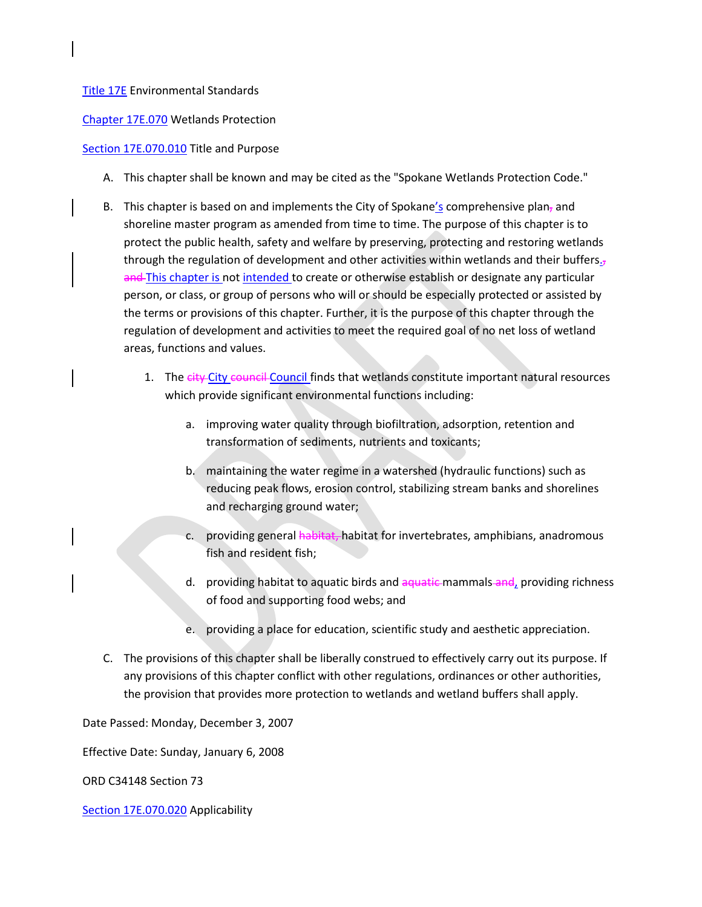## [Title 17E](https://my.spokanecity.org/smc/?Title=17E) Environmental Standards

[Chapter 17E.070](https://my.spokanecity.org/smc/?Chapter=17E.070) Wetlands Protection

## [Section 17E.070.010](https://my.spokanecity.org/smc/?Section=17E.070.010) Title and Purpose

- A. This chapter shall be known and may be cited as the "Spokane Wetlands Protection Code."
- B. This chapter is based on and implements the City of Spokane's comprehensive plan, and shoreline master program as amended from time to time. The purpose of this chapter is to protect the public health, safety and welfare by preserving, protecting and restoring wetlands through the regulation of development and other activities within wetlands and their buffers. $<sub>7</sub>$ </sub> and This chapter is not intended to create or otherwise establish or designate any particular person, or class, or group of persons who will or should be especially protected or assisted by the terms or provisions of this chapter. Further, it is the purpose of this chapter through the regulation of development and activities to meet the required goal of no net loss of wetland areas, functions and values.
	- 1. The eity-City council Council finds that wetlands constitute important natural resources which provide significant environmental functions including:
		- a. improving water quality through biofiltration, adsorption, retention and transformation of sediments, nutrients and toxicants;
		- b. maintaining the water regime in a watershed (hydraulic functions) such as reducing peak flows, erosion control, stabilizing stream banks and shorelines and recharging ground water;
		- c. providing general habitat, habitat for invertebrates, amphibians, anadromous fish and resident fish;
		- d. providing habitat to aquatic birds and aquatic mammals and, providing richness of food and supporting food webs; and
		- e. providing a place for education, scientific study and aesthetic appreciation.
- C. The provisions of this chapter shall be liberally construed to effectively carry out its purpose. If any provisions of this chapter conflict with other regulations, ordinances or other authorities, the provision that provides more protection to wetlands and wetland buffers shall apply.

Date Passed: Monday, December 3, 2007

Effective Date: Sunday, January 6, 2008

ORD C34148 Section 73

[Section 17E.070.020](https://my.spokanecity.org/smc/?Section=17E.070.020) Applicability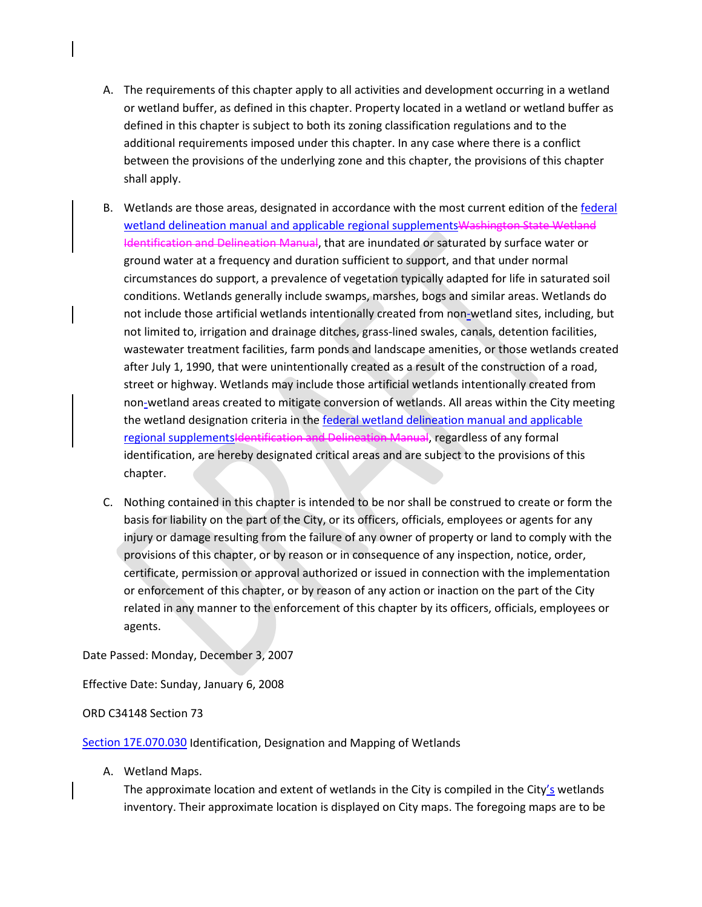- A. The requirements of this chapter apply to all activities and development occurring in a wetland or wetland buffer, as defined in this chapter. Property located in a wetland or wetland buffer as defined in this chapter is subject to both its zoning classification regulations and to the additional requirements imposed under this chapter. In any case where there is a conflict between the provisions of the underlying zone and this chapter, the provisions of this chapter shall apply.
- B. Wetlands are those areas, designated in accordance with the most current edition of the federal wetland delineation manual and applicable regional supplementsWashington State Wetland Identification and Delineation Manual, that are inundated or saturated by surface water or ground water at a frequency and duration sufficient to support, and that under normal circumstances do support, a prevalence of vegetation typically adapted for life in saturated soil conditions. Wetlands generally include swamps, marshes, bogs and similar areas. Wetlands do not include those artificial wetlands intentionally created from non-wetland sites, including, but not limited to, irrigation and drainage ditches, grass-lined swales, canals, detention facilities, wastewater treatment facilities, farm ponds and landscape amenities, or those wetlands created after July 1, 1990, that were unintentionally created as a result of the construction of a road, street or highway. Wetlands may include those artificial wetlands intentionally created from non-wetland areas created to mitigate conversion of wetlands. All areas within the City meeting the wetland designation criteria in the federal wetland delineation manual and applicable regional supplementsIdentification and Delineation Manual, regardless of any formal identification, are hereby designated critical areas and are subject to the provisions of this chapter.
- C. Nothing contained in this chapter is intended to be nor shall be construed to create or form the basis for liability on the part of the City, or its officers, officials, employees or agents for any injury or damage resulting from the failure of any owner of property or land to comply with the provisions of this chapter, or by reason or in consequence of any inspection, notice, order, certificate, permission or approval authorized or issued in connection with the implementation or enforcement of this chapter, or by reason of any action or inaction on the part of the City related in any manner to the enforcement of this chapter by its officers, officials, employees or agents.

### Date Passed: Monday, December 3, 2007

Effective Date: Sunday, January 6, 2008

#### ORD C34148 Section 73

[Section 17E.070.030](https://my.spokanecity.org/smc/?Section=17E.070.030) Identification, Designation and Mapping of Wetlands

A. Wetland Maps.

The approximate location and extent of wetlands in the City is compiled in the City's wetlands inventory. Their approximate location is displayed on City maps. The foregoing maps are to be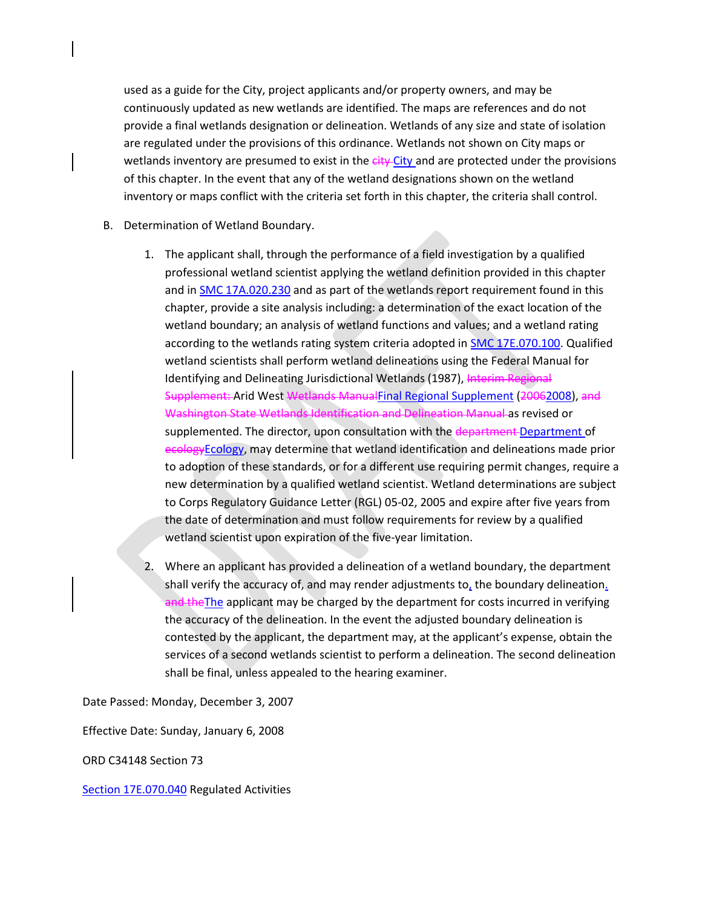used as a guide for the City, project applicants and/or property owners, and may be continuously updated as new wetlands are identified. The maps are references and do not provide a final wetlands designation or delineation. Wetlands of any size and state of isolation are regulated under the provisions of this ordinance. Wetlands not shown on City maps or wetlands inventory are presumed to exist in the eity-City and are protected under the provisions of this chapter. In the event that any of the wetland designations shown on the wetland inventory or maps conflict with the criteria set forth in this chapter, the criteria shall control.

- B. Determination of Wetland Boundary.
	- 1. The applicant shall, through the performance of a field investigation by a qualified professional wetland scientist applying the wetland definition provided in this chapter and in [SMC 17A.020.230](https://my.spokanecity.org/smc/?Section=17A.020.230) and as part of the wetlands report requirement found in this chapter, provide a site analysis including: a determination of the exact location of the wetland boundary; an analysis of wetland functions and values; and a wetland rating according to the wetlands rating system criteria adopted in **SMC 17E.070.100.** Qualified wetland scientists shall perform wetland delineations using the Federal Manual for Identifying and Delineating Jurisdictional Wetlands (1987), Interim Regional Supplement: Arid West Wetlands ManualFinal Regional Supplement (20062008), and Washington State Wetlands Identification and Delineation Manual as revised or supplemented. The director, upon consultation with the department Department of ecologyEcology, may determine that wetland identification and delineations made prior to adoption of these standards, or for a different use requiring permit changes, require a new determination by a qualified wetland scientist. Wetland determinations are subject to Corps Regulatory Guidance Letter (RGL) 05-02, 2005 and expire after five years from the date of determination and must follow requirements for review by a qualified wetland scientist upon expiration of the five-year limitation.
	- 2. Where an applicant has provided a delineation of a wetland boundary, the department shall verify the accuracy of, and may render adjustments to, the boundary delineation. and the The applicant may be charged by the department for costs incurred in verifying the accuracy of the delineation. In the event the adjusted boundary delineation is contested by the applicant, the department may, at the applicant's expense, obtain the services of a second wetlands scientist to perform a delineation. The second delineation shall be final, unless appealed to the hearing examiner.

Date Passed: Monday, December 3, 2007

Effective Date: Sunday, January 6, 2008

ORD C34148 Section 73

[Section 17E.070.040](https://my.spokanecity.org/smc/?Section=17E.070.040) Regulated Activities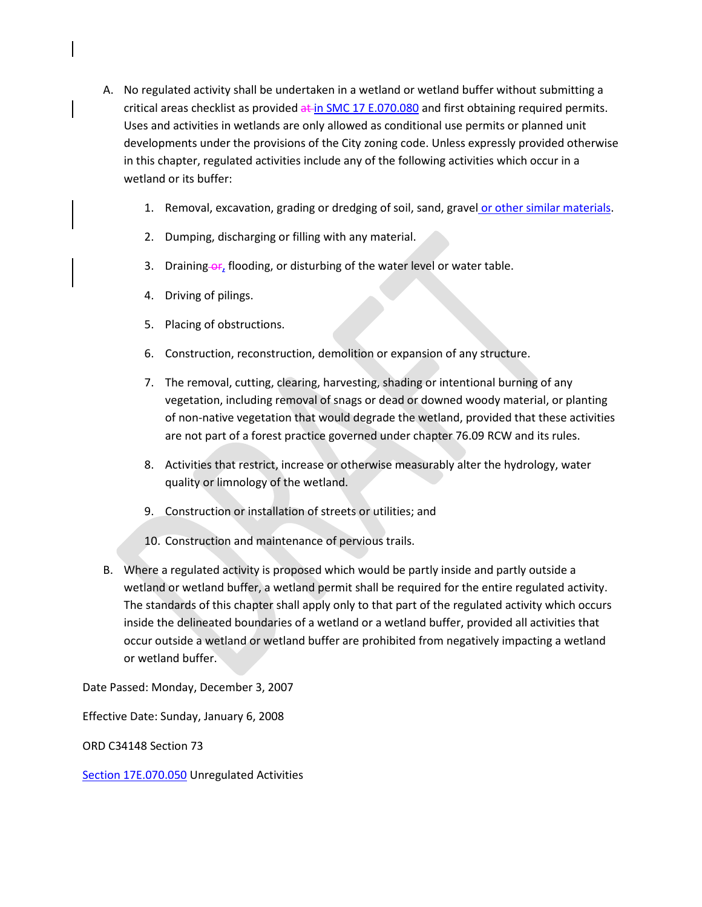- A. No regulated activity shall be undertaken in a wetland or wetland buffer without submitting a critical areas checklist as provided at i[n SMC 17 E.070.080](https://my.spokanecity.org/smc/?Section=17E.070.080) and first obtaining required permits. Uses and activities in wetlands are only allowed as conditional use permits or planned unit developments under the provisions of the City zoning code. Unless expressly provided otherwise in this chapter, regulated activities include any of the following activities which occur in a wetland or its buffer:
	- 1. Removal, excavation, grading or dredging of soil, sand, gravel or other similar materials.
	- 2. Dumping, discharging or filling with any material.
	- 3. Draining  $or_{t}$  flooding, or disturbing of the water level or water table.
	- 4. Driving of pilings.
	- 5. Placing of obstructions.
	- 6. Construction, reconstruction, demolition or expansion of any structure.
	- 7. The removal, cutting, clearing, harvesting, shading or intentional burning of any vegetation, including removal of snags or dead or downed woody material, or planting of non-native vegetation that would degrade the wetland, provided that these activities are not part of a forest practice governed under chapter 76.09 RCW and its rules.
	- 8. Activities that restrict, increase or otherwise measurably alter the hydrology, water quality or limnology of the wetland.
	- 9. Construction or installation of streets or utilities; and
	- 10. Construction and maintenance of pervious trails.
- B. Where a regulated activity is proposed which would be partly inside and partly outside a wetland or wetland buffer, a wetland permit shall be required for the entire regulated activity. The standards of this chapter shall apply only to that part of the regulated activity which occurs inside the delineated boundaries of a wetland or a wetland buffer, provided all activities that occur outside a wetland or wetland buffer are prohibited from negatively impacting a wetland or wetland buffer.

Date Passed: Monday, December 3, 2007

Effective Date: Sunday, January 6, 2008

ORD C34148 Section 73

[Section 17E.070.050](https://my.spokanecity.org/smc/?Section=17E.070.050) Unregulated Activities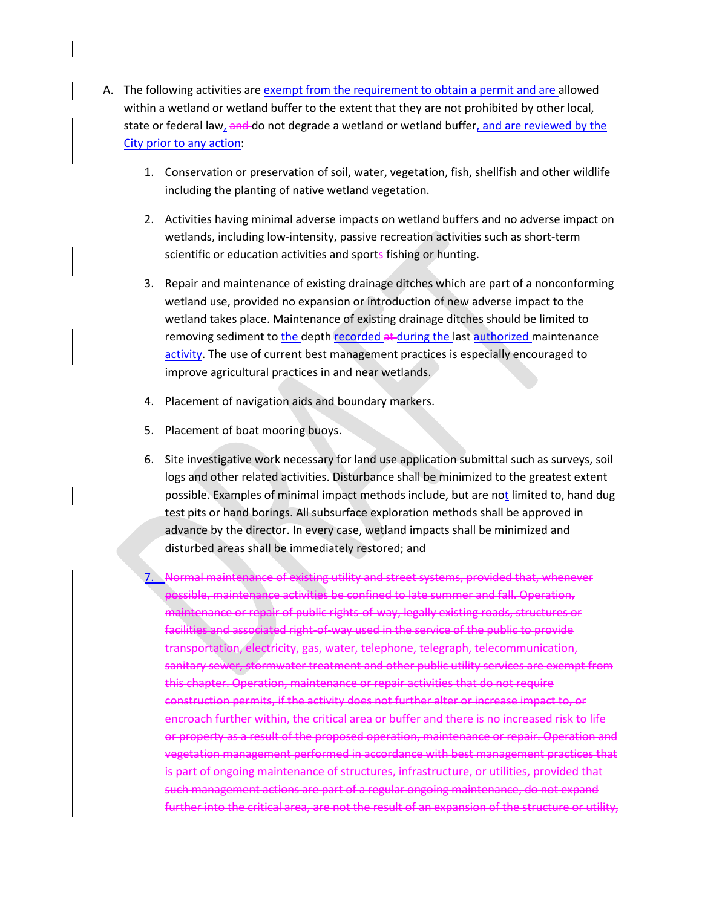- A. The following activities are exempt from the requirement to obtain a permit and are allowed within a wetland or wetland buffer to the extent that they are not prohibited by other local, state or federal law, and do not degrade a wetland or wetland buffer, and are reviewed by the City prior to any action:
	- 1. Conservation or preservation of soil, water, vegetation, fish, shellfish and other wildlife including the planting of native wetland vegetation.
	- 2. Activities having minimal adverse impacts on wetland buffers and no adverse impact on wetlands, including low-intensity, passive recreation activities such as short-term scientific or education activities and sports fishing or hunting.
	- 3. Repair and maintenance of existing drainage ditches which are part of a nonconforming wetland use, provided no expansion or introduction of new adverse impact to the wetland takes place. Maintenance of existing drainage ditches should be limited to removing sediment to the depth recorded at during the last authorized maintenance activity. The use of current best management practices is especially encouraged to improve agricultural practices in and near wetlands.
	- 4. Placement of navigation aids and boundary markers.
	- 5. Placement of boat mooring buoys.
	- 6. Site investigative work necessary for land use application submittal such as surveys, soil logs and other related activities. Disturbance shall be minimized to the greatest extent possible. Examples of minimal impact methods include, but are not limited to, hand dug test pits or hand borings. All subsurface exploration methods shall be approved in advance by the director. In every case, wetland impacts shall be minimized and disturbed areas shall be immediately restored; and
	- 7. Normal maintenance of existing utility and street systems, provided that, whenever possible, maintenance activities be confined to late summer and fall. Operation, maintenance or repair of public rights-of-way, legally existing roads, structures or facilities and associated right-of-way used in the service of the public to provide transportation, electricity, gas, water, telephone, telegraph, telecommunication, sanitary sewer, stormwater treatment and other public utility services are exempt from this chapter. Operation, maintenance or repair activities that do not require construction permits, if the activity does not further alter or increase impact to, or encroach further within, the critical area or buffer and there is no increased risk to life or property as a result of the proposed operation, maintenance or repair. Operation and vegetation management performed in accordance with best management practices that is part of ongoing maintenance of structures, infrastructure, or utilities, provided that such management actions are part of a regular ongoing maintenance, do not expand further into the critical area, are not the result of an expansion of the structure or utility,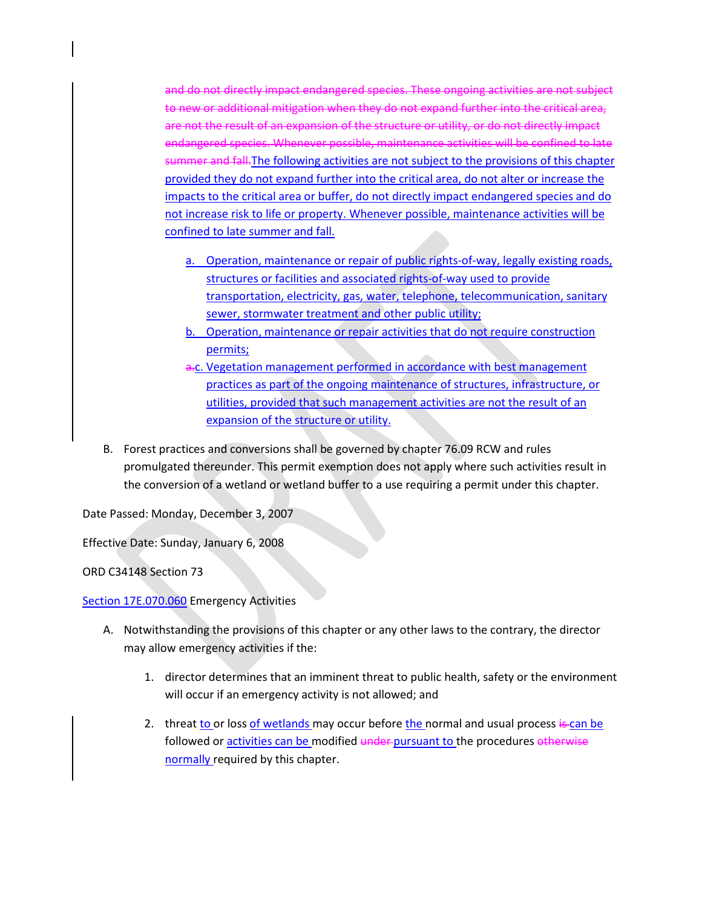and do not directly impact endangered species. These ongoing activities are not subject to new or additional mitigation when they do not expand further into the critical area, are not the result of an expansion of the structure or utility, or do not directly impact endangered species. Whenever possible, maintenance activities will be confined to late summer and fall.The following activities are not subject to the provisions of this chapter provided they do not expand further into the critical area, do not alter or increase the impacts to the critical area or buffer, do not directly impact endangered species and do not increase risk to life or property. Whenever possible, maintenance activities will be confined to late summer and fall.

- a. Operation, maintenance or repair of public rights-of-way, legally existing roads, structures or facilities and associated rights-of-way used to provide transportation, electricity, gas, water, telephone, telecommunication, sanitary sewer, stormwater treatment and other public utility;
- b. Operation, maintenance or repair activities that do not require construction permits;
- a.c. Vegetation management performed in accordance with best management practices as part of the ongoing maintenance of structures, infrastructure, or utilities, provided that such management activities are not the result of an expansion of the structure or utility.
- B. Forest practices and conversions shall be governed by chapter 76.09 RCW and rules promulgated thereunder. This permit exemption does not apply where such activities result in the conversion of a wetland or wetland buffer to a use requiring a permit under this chapter.

Date Passed: Monday, December 3, 2007

Effective Date: Sunday, January 6, 2008

ORD C34148 Section 73

[Section 17E.070.060](https://my.spokanecity.org/smc/?Section=17E.070.060) Emergency Activities

- A. Notwithstanding the provisions of this chapter or any other laws to the contrary, the director may allow emergency activities if the:
	- 1. director determines that an imminent threat to public health, safety or the environment will occur if an emergency activity is not allowed; and
	- 2. threat to or loss of wetlands may occur before the normal and usual process is can be followed or activities can be modified under pursuant to the procedures otherwise normally required by this chapter.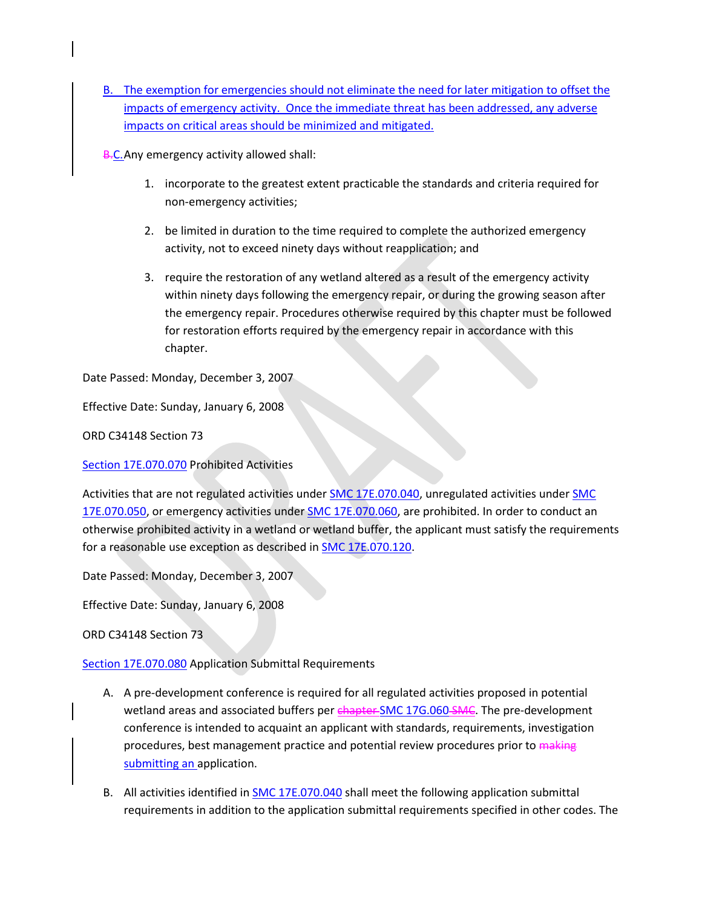B. The exemption for emergencies should not eliminate the need for later mitigation to offset the impacts of emergency activity. Once the immediate threat has been addressed, any adverse impacts on critical areas should be minimized and mitigated.

B.C. Any emergency activity allowed shall:

- 1. incorporate to the greatest extent practicable the standards and criteria required for non-emergency activities;
- 2. be limited in duration to the time required to complete the authorized emergency activity, not to exceed ninety days without reapplication; and
- 3. require the restoration of any wetland altered as a result of the emergency activity within ninety days following the emergency repair, or during the growing season after the emergency repair. Procedures otherwise required by this chapter must be followed for restoration efforts required by the emergency repair in accordance with this chapter.

Date Passed: Monday, December 3, 2007

Effective Date: Sunday, January 6, 2008

ORD C34148 Section 73

[Section 17E.070.070](https://my.spokanecity.org/smc/?Section=17E.070.070) Prohibited Activities

Activities that are not regulated activities unde[r SMC 17E.070.040,](https://my.spokanecity.org/smc/?Section=17E.070.040) unregulated activities under SMC [17E.070.050,](https://my.spokanecity.org/smc/?Section=17E.070.050) or emergency activities under [SMC 17E.070.060,](https://my.spokanecity.org/smc/?Section=17E.070.060) are prohibited. In order to conduct an otherwise prohibited activity in a wetland or wetland buffer, the applicant must satisfy the requirements for a reasonable use exception as described i[n SMC 17E.070.120.](https://my.spokanecity.org/smc/?Section=17E.070.120)

Date Passed: Monday, December 3, 2007

Effective Date: Sunday, January 6, 2008

ORD C34148 Section 73

[Section 17E.070.080](https://my.spokanecity.org/smc/?Section=17E.070.080) Application Submittal Requirements

- A. A pre-development conference is required for all regulated activities proposed in potential wetland areas and associated buffers per [chapter SMC 17G.060](https://my.spokanecity.org/smc/?Chapter=17G.060) SMC. The pre-development conference is intended to acquaint an applicant with standards, requirements, investigation procedures, best management practice and potential review procedures prior to making submitting an application.
- B. All activities identified in [SMC 17E.070.040](https://my.spokanecity.org/smc/?Section=17E.070.040) shall meet the following application submittal requirements in addition to the application submittal requirements specified in other codes. The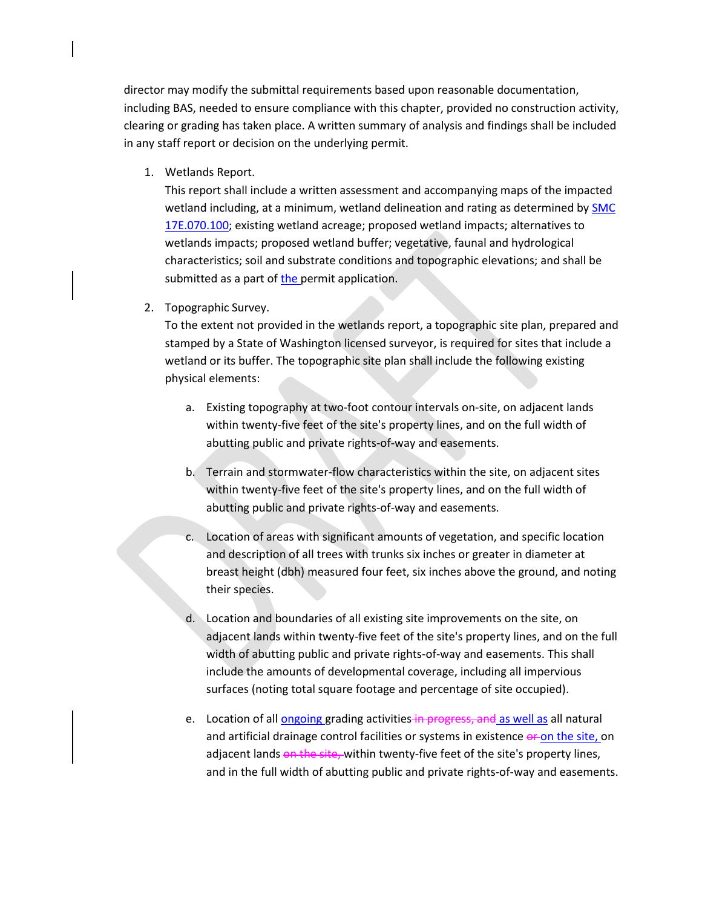director may modify the submittal requirements based upon reasonable documentation, including BAS, needed to ensure compliance with this chapter, provided no construction activity, clearing or grading has taken place. A written summary of analysis and findings shall be included in any staff report or decision on the underlying permit.

1. Wetlands Report.

This report shall include a written assessment and accompanying maps of the impacted wetland including, at a minimum, wetland delineation and rating as determined by SMC [17E.070.100;](https://my.spokanecity.org/smc/?Section=17E.070.100) existing wetland acreage; proposed wetland impacts; alternatives to wetlands impacts; proposed wetland buffer; vegetative, faunal and hydrological characteristics; soil and substrate conditions and topographic elevations; and shall be submitted as a part of the permit application.

2. Topographic Survey.

To the extent not provided in the wetlands report, a topographic site plan, prepared and stamped by a State of Washington licensed surveyor, is required for sites that include a wetland or its buffer. The topographic site plan shall include the following existing physical elements:

- a. Existing topography at two-foot contour intervals on-site, on adjacent lands within twenty-five feet of the site's property lines, and on the full width of abutting public and private rights-of-way and easements.
- b. Terrain and stormwater-flow characteristics within the site, on adjacent sites within twenty-five feet of the site's property lines, and on the full width of abutting public and private rights-of-way and easements.
- c. Location of areas with significant amounts of vegetation, and specific location and description of all trees with trunks six inches or greater in diameter at breast height (dbh) measured four feet, six inches above the ground, and noting their species.
- d. Location and boundaries of all existing site improvements on the site, on adjacent lands within twenty-five feet of the site's property lines, and on the full width of abutting public and private rights-of-way and easements. This shall include the amounts of developmental coverage, including all impervious surfaces (noting total square footage and percentage of site occupied).
- e. Location of all ongoing grading activities in progress, and as well as all natural and artificial drainage control facilities or systems in existence or on the site, on adjacent lands on the site, within twenty-five feet of the site's property lines, and in the full width of abutting public and private rights-of-way and easements.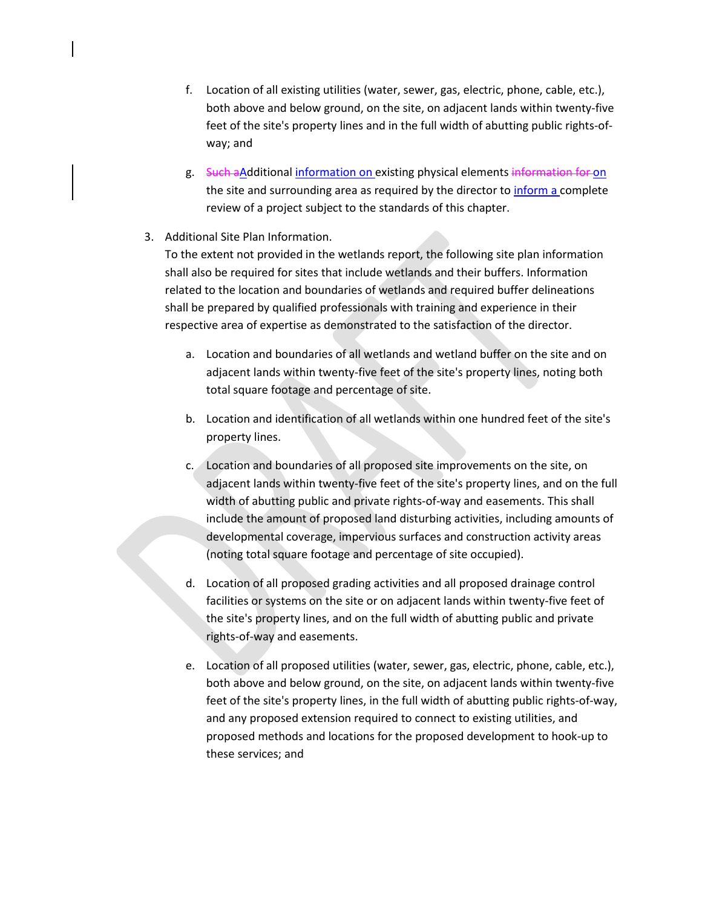- f. Location of all existing utilities (water, sewer, gas, electric, phone, cable, etc.), both above and below ground, on the site, on adjacent lands within twenty-five feet of the site's property lines and in the full width of abutting public rights-ofway; and
- g. Such aAdditional information on existing physical elements information for on the site and surrounding area as required by the director to inform a complete review of a project subject to the standards of this chapter.

# 3. Additional Site Plan Information.

To the extent not provided in the wetlands report, the following site plan information shall also be required for sites that include wetlands and their buffers. Information related to the location and boundaries of wetlands and required buffer delineations shall be prepared by qualified professionals with training and experience in their respective area of expertise as demonstrated to the satisfaction of the director.

- a. Location and boundaries of all wetlands and wetland buffer on the site and on adjacent lands within twenty-five feet of the site's property lines, noting both total square footage and percentage of site.
- b. Location and identification of all wetlands within one hundred feet of the site's property lines.
- c. Location and boundaries of all proposed site improvements on the site, on adjacent lands within twenty-five feet of the site's property lines, and on the full width of abutting public and private rights-of-way and easements. This shall include the amount of proposed land disturbing activities, including amounts of developmental coverage, impervious surfaces and construction activity areas (noting total square footage and percentage of site occupied).
- d. Location of all proposed grading activities and all proposed drainage control facilities or systems on the site or on adjacent lands within twenty-five feet of the site's property lines, and on the full width of abutting public and private rights-of-way and easements.
- e. Location of all proposed utilities (water, sewer, gas, electric, phone, cable, etc.), both above and below ground, on the site, on adjacent lands within twenty-five feet of the site's property lines, in the full width of abutting public rights-of-way, and any proposed extension required to connect to existing utilities, and proposed methods and locations for the proposed development to hook-up to these services; and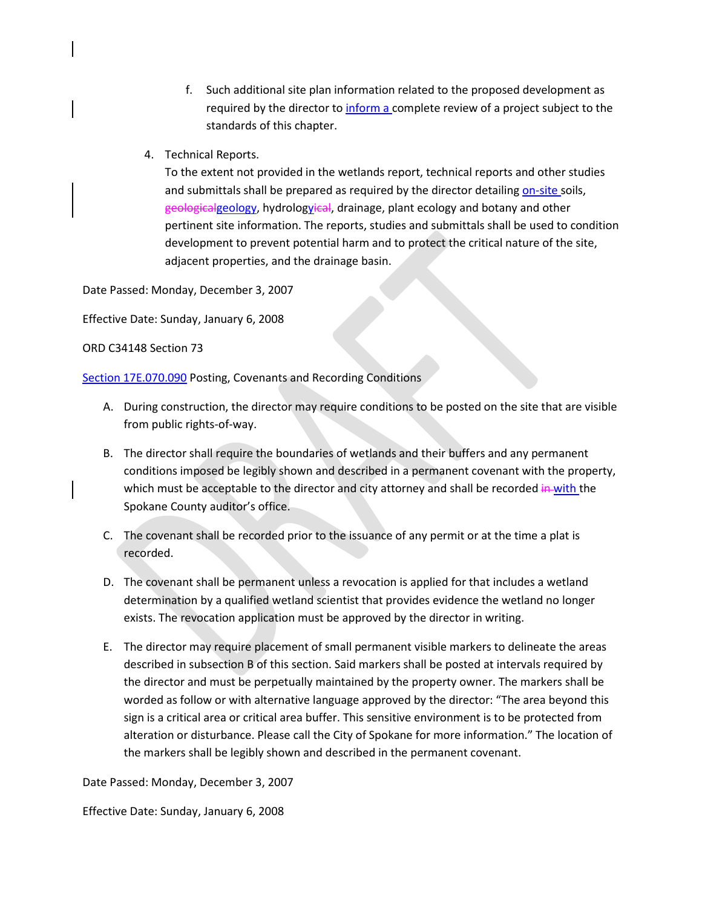- f. Such additional site plan information related to the proposed development as required by the director to inform a complete review of a project subject to the standards of this chapter.
- 4. Technical Reports.

To the extent not provided in the wetlands report, technical reports and other studies and submittals shall be prepared as required by the director detailing on-site soils, geologicalgeology, hydrologvical, drainage, plant ecology and botany and other pertinent site information. The reports, studies and submittals shall be used to condition development to prevent potential harm and to protect the critical nature of the site, adjacent properties, and the drainage basin.

Date Passed: Monday, December 3, 2007

Effective Date: Sunday, January 6, 2008

ORD C34148 Section 73

[Section 17E.070.090](https://my.spokanecity.org/smc/?Section=17E.070.090) Posting, Covenants and Recording Conditions

- A. During construction, the director may require conditions to be posted on the site that are visible from public rights-of-way.
- B. The director shall require the boundaries of wetlands and their buffers and any permanent conditions imposed be legibly shown and described in a permanent covenant with the property, which must be acceptable to the director and city attorney and shall be recorded in with the Spokane County auditor's office.
- C. The covenant shall be recorded prior to the issuance of any permit or at the time a plat is recorded.
- D. The covenant shall be permanent unless a revocation is applied for that includes a wetland determination by a qualified wetland scientist that provides evidence the wetland no longer exists. The revocation application must be approved by the director in writing.
- E. The director may require placement of small permanent visible markers to delineate the areas described in subsection B of this section. Said markers shall be posted at intervals required by the director and must be perpetually maintained by the property owner. The markers shall be worded as follow or with alternative language approved by the director: "The area beyond this sign is a critical area or critical area buffer. This sensitive environment is to be protected from alteration or disturbance. Please call the City of Spokane for more information." The location of the markers shall be legibly shown and described in the permanent covenant.

Date Passed: Monday, December 3, 2007

Effective Date: Sunday, January 6, 2008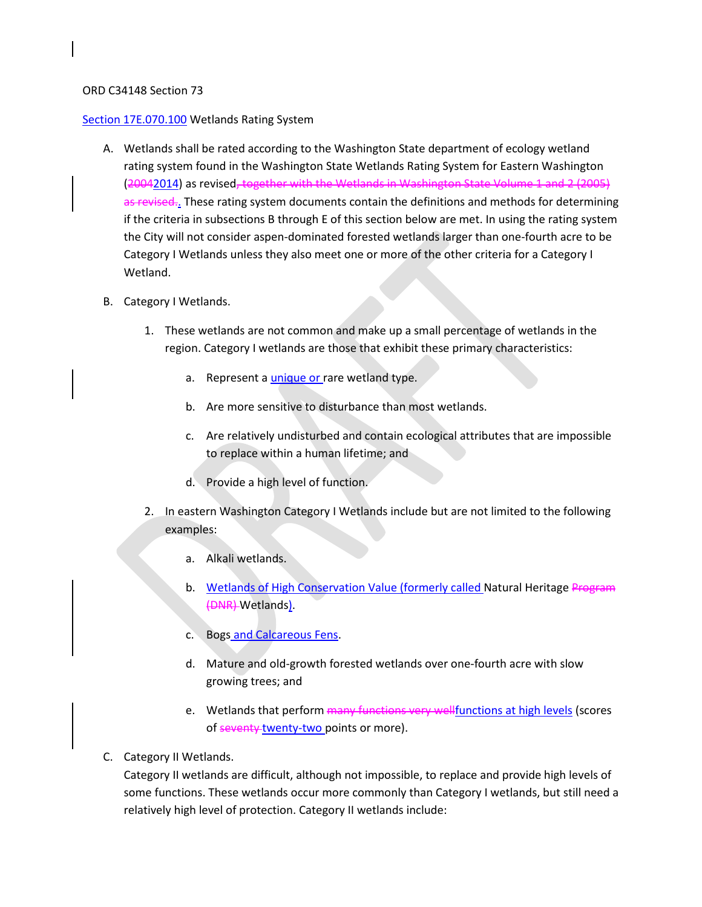### ORD C34148 Section 73

### [Section 17E.070.100](https://my.spokanecity.org/smc/?Section=17E.070.100) Wetlands Rating System

- A. Wetlands shall be rated according to the Washington State department of ecology wetland rating system found in the Washington State Wetlands Rating System for Eastern Washington (20042014) as revised, together with the Wetlands in Washington State Volume 1 and 2 (2005) as revised.. These rating system documents contain the definitions and methods for determining if the criteria in subsections B through E of this section below are met. In using the rating system the City will not consider aspen-dominated forested wetlands larger than one-fourth acre to be Category I Wetlands unless they also meet one or more of the other criteria for a Category I Wetland.
- B. Category I Wetlands.
	- 1. These wetlands are not common and make up a small percentage of wetlands in the region. Category I wetlands are those that exhibit these primary characteristics:
		- a. Represent a unique or rare wetland type.
		- b. Are more sensitive to disturbance than most wetlands.
		- c. Are relatively undisturbed and contain ecological attributes that are impossible to replace within a human lifetime; and
		- d. Provide a high level of function.
	- 2. In eastern Washington Category I Wetlands include but are not limited to the following examples:
		- a. Alkali wetlands.
		- b. Wetlands of High Conservation Value (formerly called Natural Heritage Program (DNR) Wetlands).
		- c. Bogs and Calcareous Fens.
		- d. Mature and old-growth forested wetlands over one-fourth acre with slow growing trees; and
		- e. Wetlands that perform many functions very wellfunctions at high levels (scores of seventy twenty-two points or more).
- C. Category II Wetlands.

Category II wetlands are difficult, although not impossible, to replace and provide high levels of some functions. These wetlands occur more commonly than Category I wetlands, but still need a relatively high level of protection. Category II wetlands include: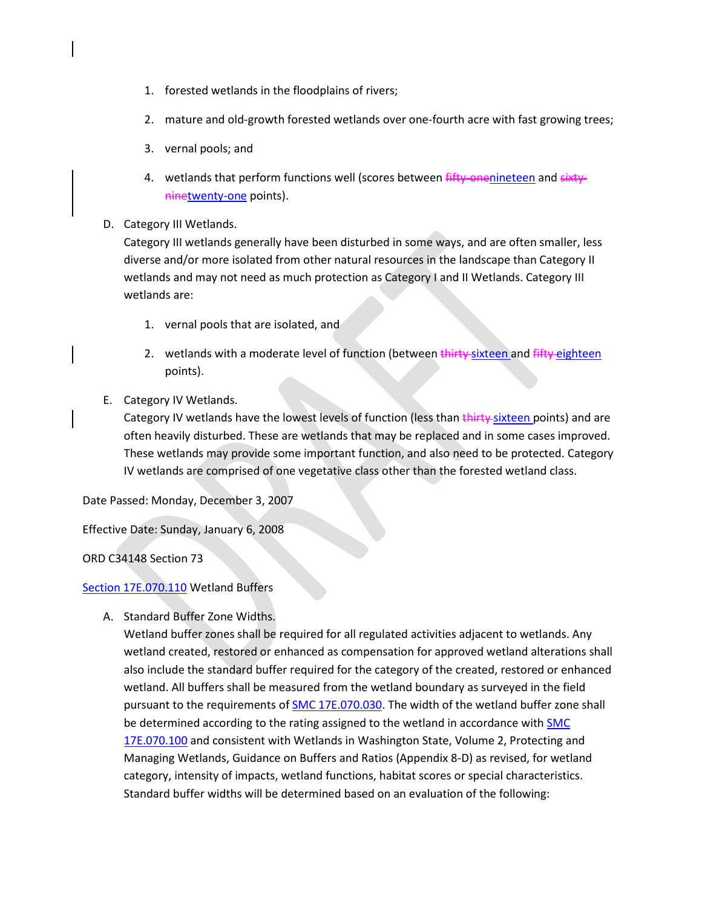- 1. forested wetlands in the floodplains of rivers;
- 2. mature and old-growth forested wetlands over one-fourth acre with fast growing trees;
- 3. vernal pools; and
- 4. wetlands that perform functions well (scores between fifty-onenineteen and sixtyninetwenty-one points).
- D. Category III Wetlands.

Category III wetlands generally have been disturbed in some ways, and are often smaller, less diverse and/or more isolated from other natural resources in the landscape than Category II wetlands and may not need as much protection as Category I and II Wetlands. Category III wetlands are:

- 1. vernal pools that are isolated, and
- 2. wetlands with a moderate level of function (between thirty-sixteen and fifty-eighteen points).
- E. Category IV Wetlands.

Category IV wetlands have the lowest levels of function (less than thirty sixteen points) and are often heavily disturbed. These are wetlands that may be replaced and in some cases improved. These wetlands may provide some important function, and also need to be protected. Category IV wetlands are comprised of one vegetative class other than the forested wetland class.

Date Passed: Monday, December 3, 2007

Effective Date: Sunday, January 6, 2008

ORD C34148 Section 73

## [Section 17E.070.110](https://my.spokanecity.org/smc/?Section=17E.070.110) Wetland Buffers

A. Standard Buffer Zone Widths.

Wetland buffer zones shall be required for all regulated activities adjacent to wetlands. Any wetland created, restored or enhanced as compensation for approved wetland alterations shall also include the standard buffer required for the category of the created, restored or enhanced wetland. All buffers shall be measured from the wetland boundary as surveyed in the field pursuant to the requirements of **SMC 17E.070.030**. The width of the wetland buffer zone shall be determined according to the rating assigned to the wetland in accordance with [SMC](https://my.spokanecity.org/smc/?Section=17E.070.100)  [17E.070.100](https://my.spokanecity.org/smc/?Section=17E.070.100) and consistent with Wetlands in Washington State, Volume 2, Protecting and Managing Wetlands, Guidance on Buffers and Ratios (Appendix 8-D) as revised, for wetland category, intensity of impacts, wetland functions, habitat scores or special characteristics. Standard buffer widths will be determined based on an evaluation of the following: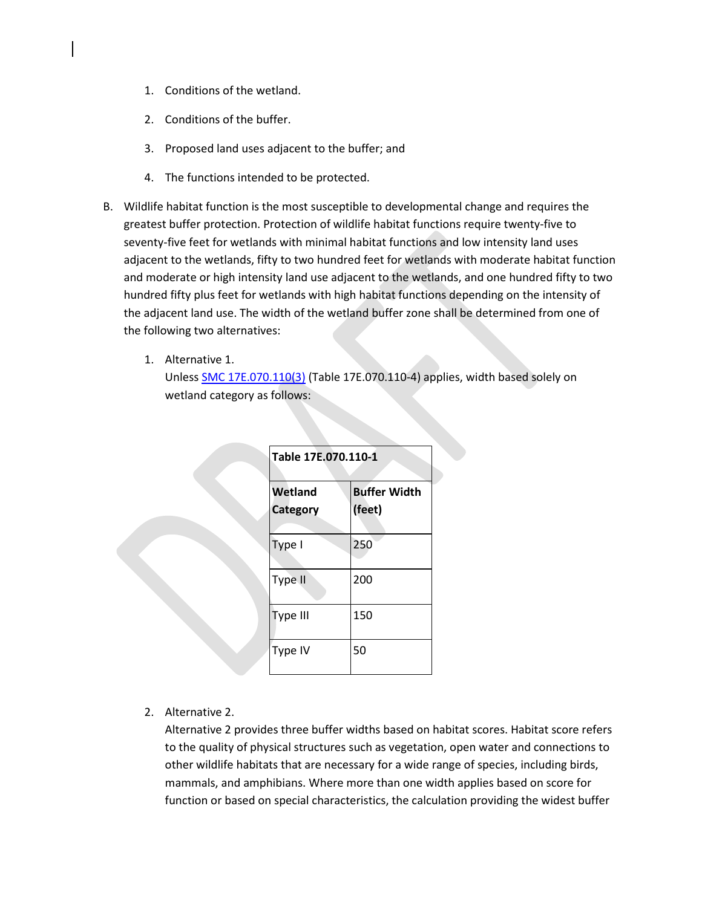- 1. Conditions of the wetland.
- 2. Conditions of the buffer.
- 3. Proposed land uses adjacent to the buffer; and
- 4. The functions intended to be protected.
- B. Wildlife habitat function is the most susceptible to developmental change and requires the greatest buffer protection. Protection of wildlife habitat functions require twenty-five to seventy-five feet for wetlands with minimal habitat functions and low intensity land uses adjacent to the wetlands, fifty to two hundred feet for wetlands with moderate habitat function and moderate or high intensity land use adjacent to the wetlands, and one hundred fifty to two hundred fifty plus feet for wetlands with high habitat functions depending on the intensity of the adjacent land use. The width of the wetland buffer zone shall be determined from one of the following two alternatives:
	- 1. Alternative 1.

Unless [SMC 17E.070.110\(3\)](https://my.spokanecity.org/smc/?Section=17E.070.110) (Table 17E.070.110-4) applies, width based solely on wetland category as follows:

|  | Table 17E.070.110-1        |                               |  |  |
|--|----------------------------|-------------------------------|--|--|
|  | Wetland<br><b>Category</b> | <b>Buffer Width</b><br>(feet) |  |  |
|  | Type I                     | 250                           |  |  |
|  | Type II                    | 200                           |  |  |
|  | Type III                   | 150                           |  |  |
|  | Type IV                    | 50                            |  |  |

2. Alternative 2.

Alternative 2 provides three buffer widths based on habitat scores. Habitat score refers to the quality of physical structures such as vegetation, open water and connections to other wildlife habitats that are necessary for a wide range of species, including birds, mammals, and amphibians. Where more than one width applies based on score for function or based on special characteristics, the calculation providing the widest buffer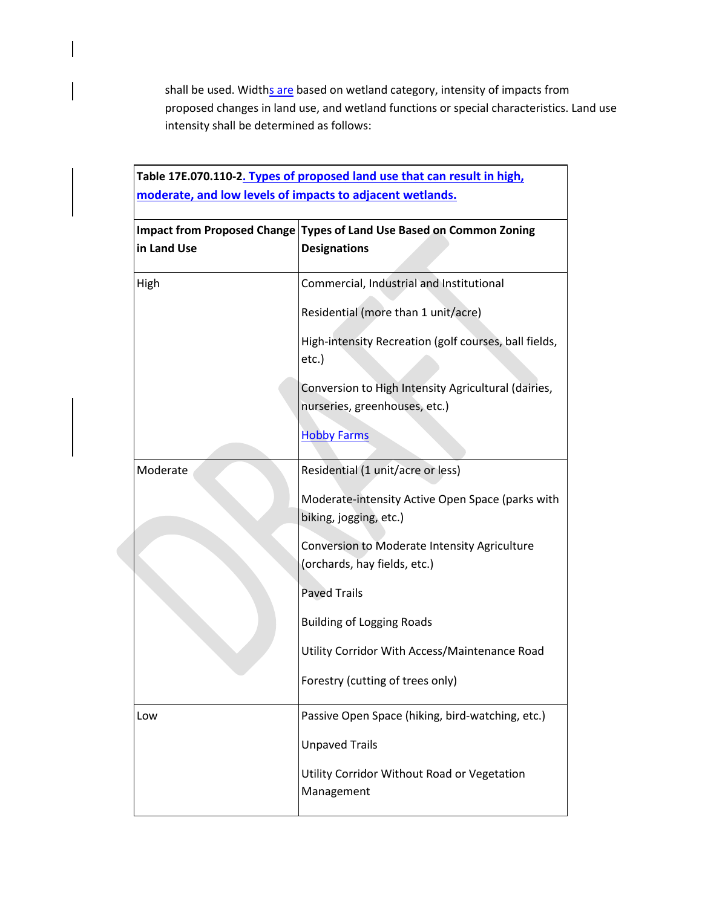shall be used. Widths are based on wetland category, intensity of impacts from proposed changes in land use, and wetland functions or special characteristics. Land use intensity shall be determined as follows:

|             | Table 17E.070.110-2. Types of proposed land use that can result in high,<br>moderate, and low levels of impacts to adjacent wetlands. |
|-------------|---------------------------------------------------------------------------------------------------------------------------------------|
| in Land Use | Impact from Proposed Change Types of Land Use Based on Common Zoning<br><b>Designations</b>                                           |
| High        | Commercial, Industrial and Institutional                                                                                              |
|             | Residential (more than 1 unit/acre)                                                                                                   |
|             | High-intensity Recreation (golf courses, ball fields,<br>etc.)                                                                        |
|             | Conversion to High Intensity Agricultural (dairies,<br>nurseries, greenhouses, etc.)                                                  |
|             | <b>Hobby Farms</b>                                                                                                                    |
| Moderate    | Residential (1 unit/acre or less)                                                                                                     |
|             | Moderate-intensity Active Open Space (parks with<br>biking, jogging, etc.)                                                            |
|             | Conversion to Moderate Intensity Agriculture<br>(orchards, hay fields, etc.)                                                          |
|             | <b>Paved Trails</b>                                                                                                                   |
|             | <b>Building of Logging Roads</b>                                                                                                      |
|             | Utility Corridor With Access/Maintenance Road                                                                                         |
|             | Forestry (cutting of trees only)                                                                                                      |
| Low         | Passive Open Space (hiking, bird-watching, etc.)                                                                                      |
|             | <b>Unpaved Trails</b>                                                                                                                 |
|             | Utility Corridor Without Road or Vegetation<br>Management                                                                             |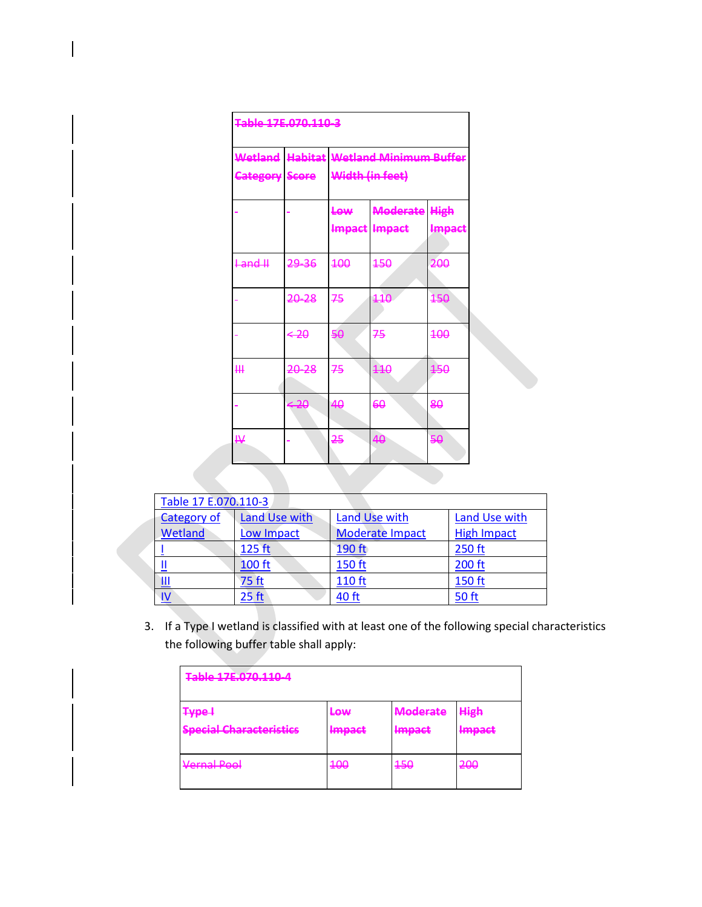| Table 17F, 070, 110, 3 |       |                                                           |                                       |        |  |
|------------------------|-------|-----------------------------------------------------------|---------------------------------------|--------|--|
| <b>Category Score</b>  |       | Wetland Habitat Wetland Minimum Buffer<br>Width (in feet) |                                       |        |  |
|                        |       | Low                                                       | <b>Moderate High</b><br>Impact Impact | Impact |  |
| $+ and H$              | 29 36 | 400                                                       | 450                                   | 200    |  |
|                        | 20-28 | 75                                                        | 110                                   | 150    |  |
|                        | $-20$ | 50                                                        | 75                                    | 400    |  |
| щ                      | 20-28 | 75                                                        | 440                                   | 150    |  |
|                        | $-20$ | 40                                                        | 60                                    | 80     |  |
| ₩                      |       | 25                                                        | 40                                    | 50     |  |

| Table 17 E.070.110-3    |                  |                        |                    |  |  |
|-------------------------|------------------|------------------------|--------------------|--|--|
| Category of             | Land Use with    | Land Use with          | Land Use with      |  |  |
| Wetland                 | Low Impact       | <b>Moderate Impact</b> | <b>High Impact</b> |  |  |
|                         | 125 ft           | 190 ft                 | 250 ft             |  |  |
| Щ                       | <b>100 ft</b>    | 150 ft                 | 200 ft             |  |  |
| <u>III</u>              | 75 ft            | 110 ft                 | 150 ft             |  |  |
| $\overline{\mathsf{N}}$ | 25 <sub>ft</sub> | 40 ft                  | <b>50 ft</b>       |  |  |

3. If a Type I wetland is classified with at least one of the following special characteristics the following buffer table shall apply:

| <b>Table 17E 070 110.4</b><br><del>ד סבובוס וסובו זב כולוסו</del>                    |                                    |                                     |                                 |  |
|--------------------------------------------------------------------------------------|------------------------------------|-------------------------------------|---------------------------------|--|
| <b>Type +</b><br><b>Snacial Charactorictics</b><br>てんちん 一つ こんかん こうしん こうきょう こうしん こうかい | <del>Low</del><br>Imnact<br>mnpact | <b>Moderate</b><br>Imnact<br>mmpatt | <b>High</b><br>Imnact<br>mmpatt |  |
| Vernal Pool<br>$\mathbf{v}$ which is the contract of $\mathbf{v}$                    | 400                                | 450                                 | 200                             |  |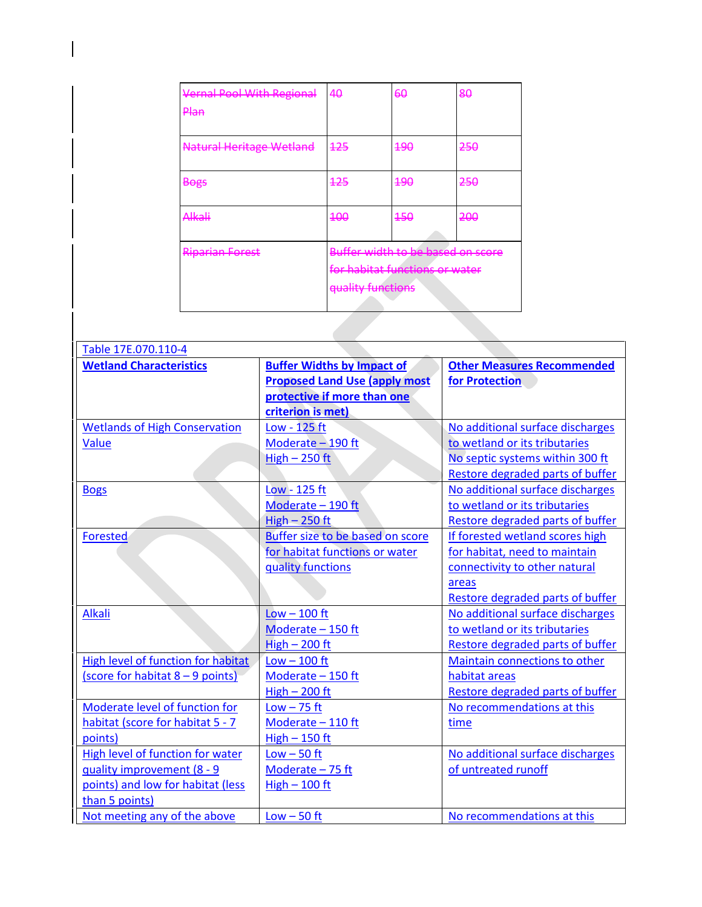| <b>Vernal Pool With Regional</b><br><del>Plan</del> | 40                | 60                                                                  | 80  |
|-----------------------------------------------------|-------------------|---------------------------------------------------------------------|-----|
| <b>Natural Heritage Wetland</b>                     | 425               | 490                                                                 | 250 |
| <b>Bogs</b>                                         | <del>125</del>    | <del>190</del>                                                      | 250 |
| <del>Alkali</del>                                   | <del>100</del>    | $450$                                                               | 200 |
| <b>Riparian Forest</b>                              | quality functions | Buffer width to be based on score<br>for habitat functions or water |     |
|                                                     |                   |                                                                     |     |

| Table 17E.070.110-4                  |                                      |                                   |  |  |  |
|--------------------------------------|--------------------------------------|-----------------------------------|--|--|--|
| <b>Wetland Characteristics</b>       | <b>Buffer Widths by Impact of</b>    | <b>Other Measures Recommended</b> |  |  |  |
|                                      | <b>Proposed Land Use (apply most</b> | for Protection                    |  |  |  |
|                                      | protective if more than one          |                                   |  |  |  |
|                                      | criterion is met)                    |                                   |  |  |  |
| <b>Wetlands of High Conservation</b> | Low - 125 ft                         | No additional surface discharges  |  |  |  |
| Value                                | Moderate - 190 ft                    | to wetland or its tributaries     |  |  |  |
|                                      | $High - 250 ft$                      | No septic systems within 300 ft   |  |  |  |
|                                      |                                      | Restore degraded parts of buffer  |  |  |  |
| <b>Bogs</b>                          | Low - 125 ft                         | No additional surface discharges  |  |  |  |
|                                      | Moderate - 190 ft                    | to wetland or its tributaries     |  |  |  |
|                                      | $High - 250 ft$                      | Restore degraded parts of buffer  |  |  |  |
| Forested                             | Buffer size to be based on score     | If forested wetland scores high   |  |  |  |
|                                      | for habitat functions or water       | for habitat, need to maintain     |  |  |  |
|                                      | quality functions                    | connectivity to other natural     |  |  |  |
|                                      |                                      | areas                             |  |  |  |
|                                      |                                      | Restore degraded parts of buffer  |  |  |  |
| <b>Alkali</b>                        | $Low - 100$ ft                       | No additional surface discharges  |  |  |  |
|                                      | Moderate - 150 ft                    | to wetland or its tributaries     |  |  |  |
|                                      | $High - 200$ ft                      | Restore degraded parts of buffer  |  |  |  |
| High level of function for habitat   | $Low - 100$ ft                       | Maintain connections to other     |  |  |  |
| (score for habitat $8 - 9$ points)   | Moderate - 150 ft                    | habitat areas                     |  |  |  |
|                                      | High $-200$ ft                       | Restore degraded parts of buffer  |  |  |  |
| Moderate level of function for       | $Low - 75$ ft                        | No recommendations at this        |  |  |  |
| habitat (score for habitat 5 - 7     | Moderate - 110 ft                    | time                              |  |  |  |
| points)                              | $High - 150$ ft                      |                                   |  |  |  |
| High level of function for water     | $Low - 50$ ft                        | No additional surface discharges  |  |  |  |
| quality improvement (8 - 9           | Moderate - 75 ft                     | of untreated runoff               |  |  |  |
| points) and low for habitat (less    | $High - 100 ft$                      |                                   |  |  |  |
| than 5 points)                       |                                      |                                   |  |  |  |
| Not meeting any of the above         | $Low - 50$ ft                        | No recommendations at this        |  |  |  |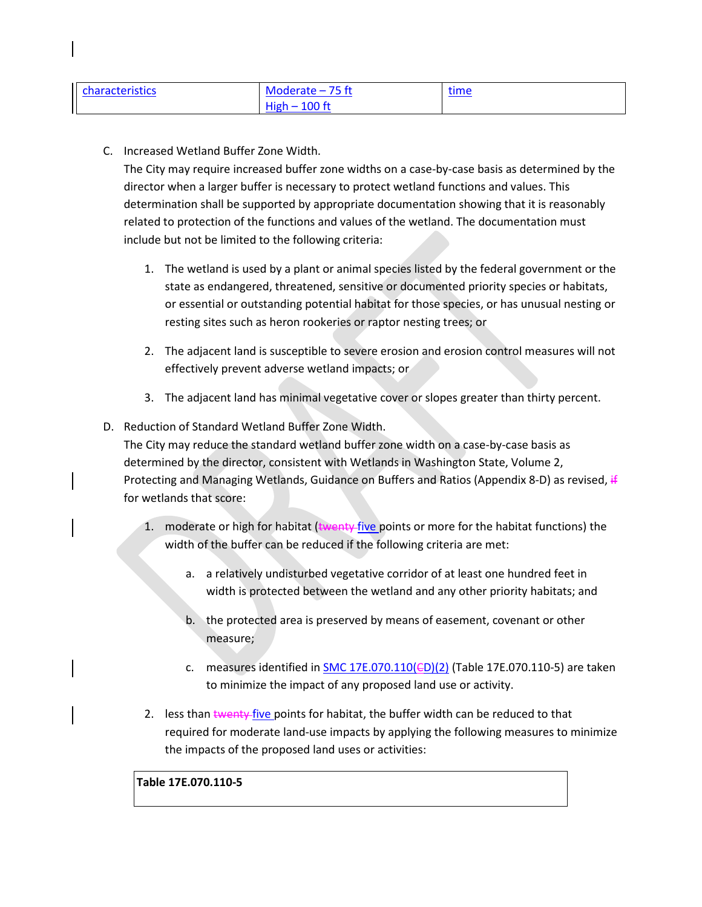| <b>characteristics</b> | Moderate $-75$ ft       | time<br>___ |
|------------------------|-------------------------|-------------|
|                        | <b>High</b><br>$100$ ft |             |

C. Increased Wetland Buffer Zone Width.

The City may require increased buffer zone widths on a case-by-case basis as determined by the director when a larger buffer is necessary to protect wetland functions and values. This determination shall be supported by appropriate documentation showing that it is reasonably related to protection of the functions and values of the wetland. The documentation must include but not be limited to the following criteria:

- 1. The wetland is used by a plant or animal species listed by the federal government or the state as endangered, threatened, sensitive or documented priority species or habitats, or essential or outstanding potential habitat for those species, or has unusual nesting or resting sites such as heron rookeries or raptor nesting trees; or
- 2. The adjacent land is susceptible to severe erosion and erosion control measures will not effectively prevent adverse wetland impacts; or
- 3. The adjacent land has minimal vegetative cover or slopes greater than thirty percent.
- D. Reduction of Standard Wetland Buffer Zone Width.

The City may reduce the standard wetland buffer zone width on a case-by-case basis as determined by the director, consistent with Wetlands in Washington State, Volume 2, Protecting and Managing Wetlands, Guidance on Buffers and Ratios (Appendix 8-D) as revised, if for wetlands that score:

- 1. moderate or high for habitat (twenty five points or more for the habitat functions) the width of the buffer can be reduced if the following criteria are met:
	- a. a relatively undisturbed vegetative corridor of at least one hundred feet in width is protected between the wetland and any other priority habitats; and
	- b. the protected area is preserved by means of easement, covenant or other measure;
	- c. measures identified in  $SMC 17E.070.110(ED)(2)$  (Table 17E.070.110-5) are taken to minimize the impact of any proposed land use or activity.
- 2. less than twenty five points for habitat, the buffer width can be reduced to that required for moderate land-use impacts by applying the following measures to minimize the impacts of the proposed land uses or activities:

# **Table 17E.070.110-5**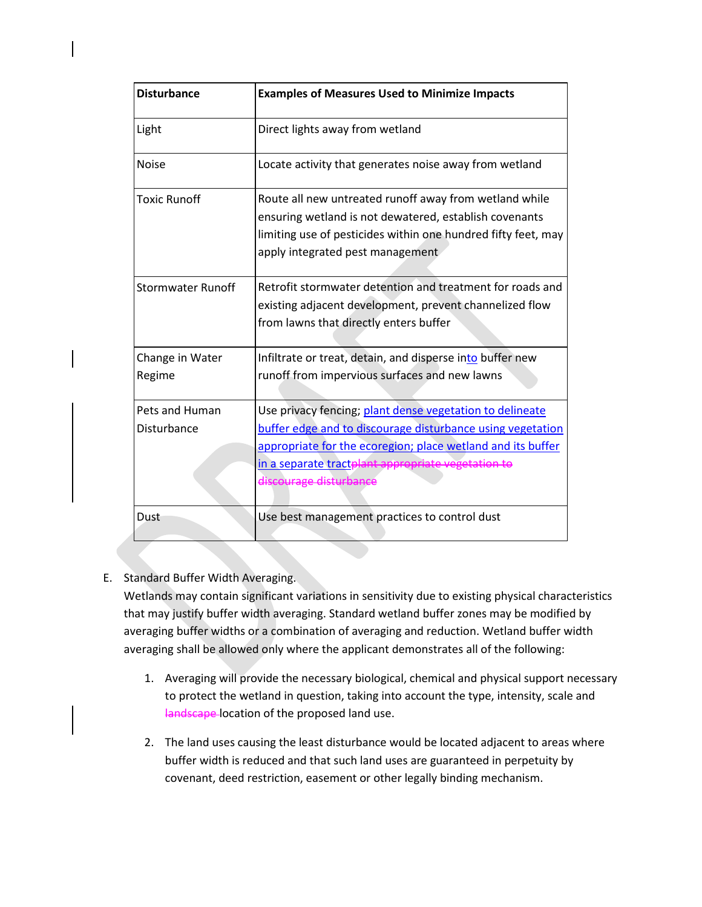| <b>Disturbance</b>            | <b>Examples of Measures Used to Minimize Impacts</b>                                                                                                                                                                                                                  |
|-------------------------------|-----------------------------------------------------------------------------------------------------------------------------------------------------------------------------------------------------------------------------------------------------------------------|
| Light                         | Direct lights away from wetland                                                                                                                                                                                                                                       |
| <b>Noise</b>                  | Locate activity that generates noise away from wetland                                                                                                                                                                                                                |
| <b>Toxic Runoff</b>           | Route all new untreated runoff away from wetland while<br>ensuring wetland is not dewatered, establish covenants<br>limiting use of pesticides within one hundred fifty feet, may<br>apply integrated pest management                                                 |
| <b>Stormwater Runoff</b>      | Retrofit stormwater detention and treatment for roads and<br>existing adjacent development, prevent channelized flow<br>from lawns that directly enters buffer                                                                                                        |
| Change in Water<br>Regime     | Infiltrate or treat, detain, and disperse into buffer new<br>runoff from impervious surfaces and new lawns                                                                                                                                                            |
| Pets and Human<br>Disturbance | Use privacy fencing; plant dense vegetation to delineate<br>buffer edge and to discourage disturbance using vegetation<br>appropriate for the ecoregion; place wetland and its buffer<br>in a separate tractplant appropriate vegetation to<br>discourage disturbance |
| Dust                          | Use best management practices to control dust                                                                                                                                                                                                                         |

# E. Standard Buffer Width Averaging.

Wetlands may contain significant variations in sensitivity due to existing physical characteristics that may justify buffer width averaging. Standard wetland buffer zones may be modified by averaging buffer widths or a combination of averaging and reduction. Wetland buffer width averaging shall be allowed only where the applicant demonstrates all of the following:

- 1. Averaging will provide the necessary biological, chemical and physical support necessary to protect the wetland in question, taking into account the type, intensity, scale and landscape location of the proposed land use.
- 2. The land uses causing the least disturbance would be located adjacent to areas where buffer width is reduced and that such land uses are guaranteed in perpetuity by covenant, deed restriction, easement or other legally binding mechanism.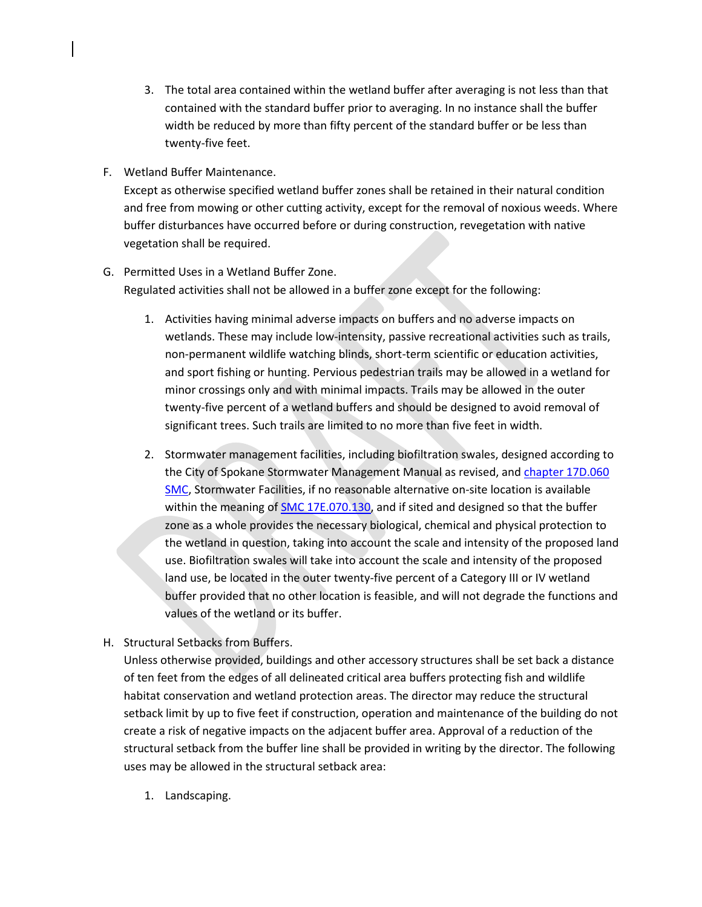- 3. The total area contained within the wetland buffer after averaging is not less than that contained with the standard buffer prior to averaging. In no instance shall the buffer width be reduced by more than fifty percent of the standard buffer or be less than twenty-five feet.
- F. Wetland Buffer Maintenance.

Except as otherwise specified wetland buffer zones shall be retained in their natural condition and free from mowing or other cutting activity, except for the removal of noxious weeds. Where buffer disturbances have occurred before or during construction, revegetation with native vegetation shall be required.

- G. Permitted Uses in a Wetland Buffer Zone. Regulated activities shall not be allowed in a buffer zone except for the following:
	- 1. Activities having minimal adverse impacts on buffers and no adverse impacts on wetlands. These may include low-intensity, passive recreational activities such as trails, non-permanent wildlife watching blinds, short-term scientific or education activities, and sport fishing or hunting. Pervious pedestrian trails may be allowed in a wetland for minor crossings only and with minimal impacts. Trails may be allowed in the outer twenty-five percent of a wetland buffers and should be designed to avoid removal of significant trees. Such trails are limited to no more than five feet in width.
	- 2. Stormwater management facilities, including biofiltration swales, designed according to the City of Spokane Stormwater Management Manual as revised, and [chapter 17D.060](https://my.spokanecity.org/smc/?Chapter=17D.060)  [SMC,](https://my.spokanecity.org/smc/?Chapter=17D.060) Stormwater Facilities, if no reasonable alternative on-site location is available within the meaning of [SMC 17E.070.130,](https://my.spokanecity.org/smc/?Section=17E.070.130) and if sited and designed so that the buffer zone as a whole provides the necessary biological, chemical and physical protection to the wetland in question, taking into account the scale and intensity of the proposed land use. Biofiltration swales will take into account the scale and intensity of the proposed land use, be located in the outer twenty-five percent of a Category III or IV wetland buffer provided that no other location is feasible, and will not degrade the functions and values of the wetland or its buffer.
- H. Structural Setbacks from Buffers.

Unless otherwise provided, buildings and other accessory structures shall be set back a distance of ten feet from the edges of all delineated critical area buffers protecting fish and wildlife habitat conservation and wetland protection areas. The director may reduce the structural setback limit by up to five feet if construction, operation and maintenance of the building do not create a risk of negative impacts on the adjacent buffer area. Approval of a reduction of the structural setback from the buffer line shall be provided in writing by the director. The following uses may be allowed in the structural setback area:

1. Landscaping.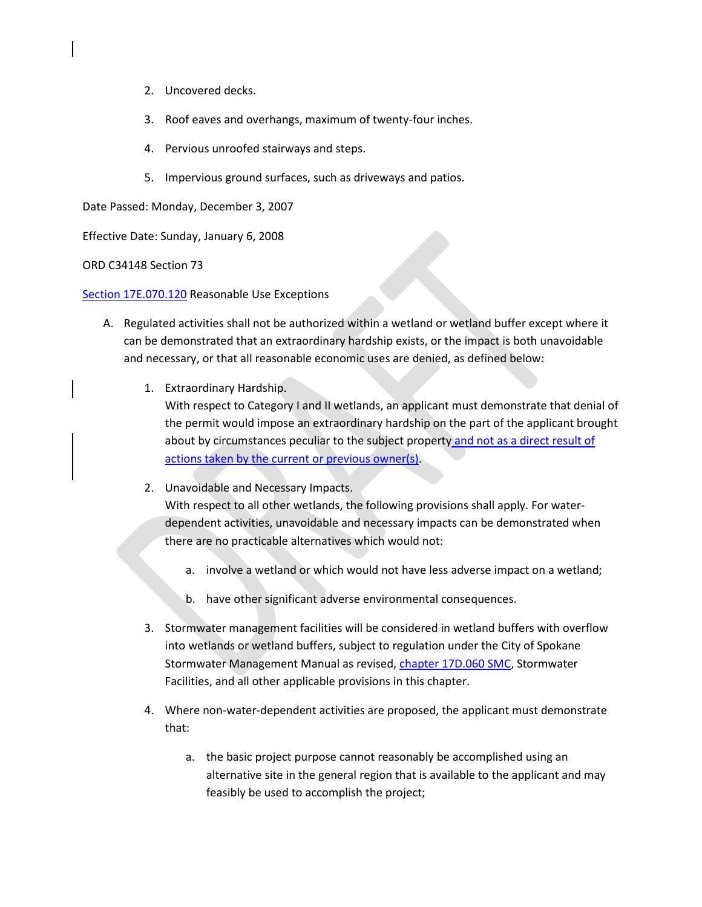- 2. Uncovered decks.
- 3. Roof eaves and overhangs, maximum of twenty-four inches.
- 4. Pervious unroofed stairways and steps.
- 5. Impervious ground surfaces, such as driveways and patios.

Date Passed: Monday, December 3, 2007

Effective Date: Sunday, January 6, 2008

ORD C34148 Section 73

[Section 17E.070.120](https://my.spokanecity.org/smc/?Section=17E.070.120) Reasonable Use Exceptions

- A. Regulated activities shall not be authorized within a wetland or wetland buffer except where it can be demonstrated that an extraordinary hardship exists, or the impact is both unavoidable and necessary, or that all reasonable economic uses are denied, as defined below:
	- 1. Extraordinary Hardship.

With respect to Category I and II wetlands, an applicant must demonstrate that denial of the permit would impose an extraordinary hardship on the part of the applicant brought about by circumstances peculiar to the subject property and not as a direct result of actions taken by the current or previous owner(s).

2. Unavoidable and Necessary Impacts.

With respect to all other wetlands, the following provisions shall apply. For waterdependent activities, unavoidable and necessary impacts can be demonstrated when there are no practicable alternatives which would not:

- a. involve a wetland or which would not have less adverse impact on a wetland;
- b. have other significant adverse environmental consequences.
- 3. Stormwater management facilities will be considered in wetland buffers with overflow into wetlands or wetland buffers, subject to regulation under the City of Spokane Stormwater Management Manual as revised[, chapter 17D.060 SMC,](https://my.spokanecity.org/smc/?Chapter=17D.060) Stormwater Facilities, and all other applicable provisions in this chapter.
- 4. Where non-water-dependent activities are proposed, the applicant must demonstrate that:
	- a. the basic project purpose cannot reasonably be accomplished using an alternative site in the general region that is available to the applicant and may feasibly be used to accomplish the project;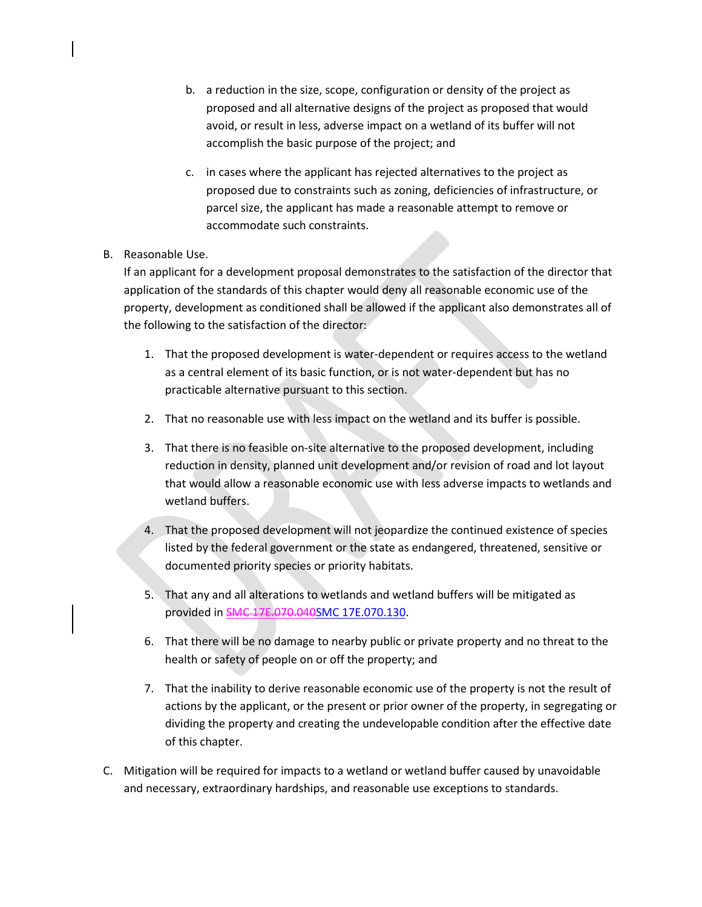- b. a reduction in the size, scope, configuration or density of the project as proposed and all alternative designs of the project as proposed that would avoid, or result in less, adverse impact on a wetland of its buffer will not accomplish the basic purpose of the project; and
- c. in cases where the applicant has rejected alternatives to the project as proposed due to constraints such as zoning, deficiencies of infrastructure, or parcel size, the applicant has made a reasonable attempt to remove or accommodate such constraints.

# B. Reasonable Use.

If an applicant for a development proposal demonstrates to the satisfaction of the director that application of the standards of this chapter would deny all reasonable economic use of the property, development as conditioned shall be allowed if the applicant also demonstrates all of the following to the satisfaction of the director:

- 1. That the proposed development is water-dependent or requires access to the wetland as a central element of its basic function, or is not water-dependent but has no practicable alternative pursuant to this section.
- 2. That no reasonable use with less impact on the wetland and its buffer is possible.
- 3. That there is no feasible on-site alternative to the proposed development, including reduction in density, planned unit development and/or revision of road and lot layout that would allow a reasonable economic use with less adverse impacts to wetlands and wetland buffers.
- 4. That the proposed development will not jeopardize the continued existence of species listed by the federal government or the state as endangered, threatened, sensitive or documented priority species or priority habitats.
- 5. That any and all alterations to wetlands and wetland buffers will be mitigated as provided in SMC 17E.070.04[0SMC 17E.070.130.](https://my.spokanecity.org/smc/?Section=17E.070.040)
- 6. That there will be no damage to nearby public or private property and no threat to the health or safety of people on or off the property; and
- 7. That the inability to derive reasonable economic use of the property is not the result of actions by the applicant, or the present or prior owner of the property, in segregating or dividing the property and creating the undevelopable condition after the effective date of this chapter.
- C. Mitigation will be required for impacts to a wetland or wetland buffer caused by unavoidable and necessary, extraordinary hardships, and reasonable use exceptions to standards.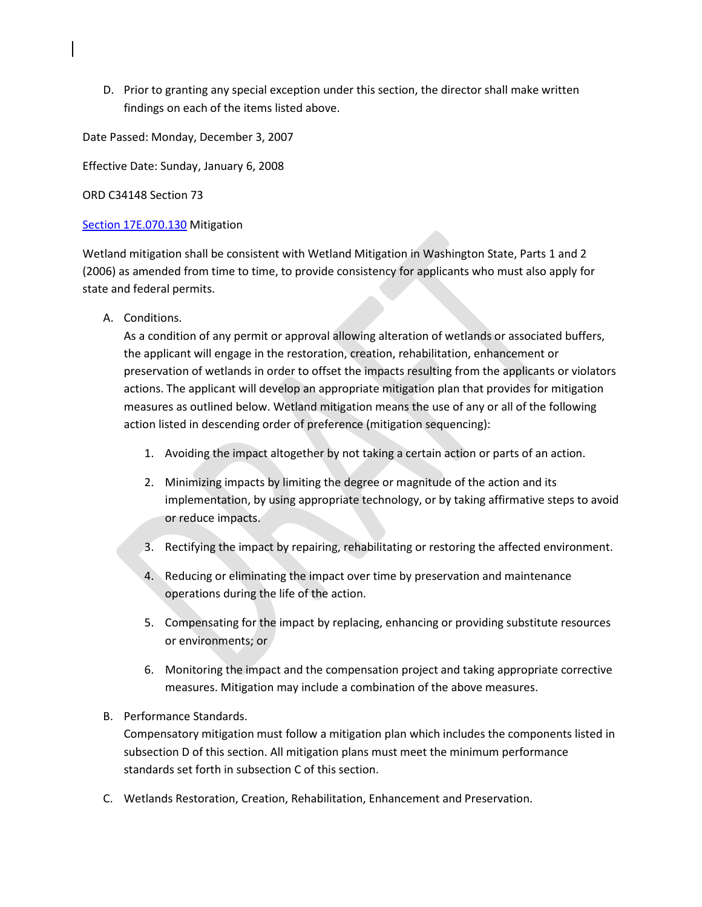D. Prior to granting any special exception under this section, the director shall make written findings on each of the items listed above.

Date Passed: Monday, December 3, 2007

Effective Date: Sunday, January 6, 2008

ORD C34148 Section 73

## [Section 17E.070.130](https://my.spokanecity.org/smc/?Section=17E.070.130) Mitigation

Wetland mitigation shall be consistent with Wetland Mitigation in Washington State, Parts 1 and 2 (2006) as amended from time to time, to provide consistency for applicants who must also apply for state and federal permits.

A. Conditions.

As a condition of any permit or approval allowing alteration of wetlands or associated buffers, the applicant will engage in the restoration, creation, rehabilitation, enhancement or preservation of wetlands in order to offset the impacts resulting from the applicants or violators actions. The applicant will develop an appropriate mitigation plan that provides for mitigation measures as outlined below. Wetland mitigation means the use of any or all of the following action listed in descending order of preference (mitigation sequencing):

- 1. Avoiding the impact altogether by not taking a certain action or parts of an action.
- 2. Minimizing impacts by limiting the degree or magnitude of the action and its implementation, by using appropriate technology, or by taking affirmative steps to avoid or reduce impacts.
- 3. Rectifying the impact by repairing, rehabilitating or restoring the affected environment.
- 4. Reducing or eliminating the impact over time by preservation and maintenance operations during the life of the action.
- 5. Compensating for the impact by replacing, enhancing or providing substitute resources or environments; or
- 6. Monitoring the impact and the compensation project and taking appropriate corrective measures. Mitigation may include a combination of the above measures.

# B. Performance Standards.

Compensatory mitigation must follow a mitigation plan which includes the components listed in subsection D of this section. All mitigation plans must meet the minimum performance standards set forth in subsection C of this section.

C. Wetlands Restoration, Creation, Rehabilitation, Enhancement and Preservation.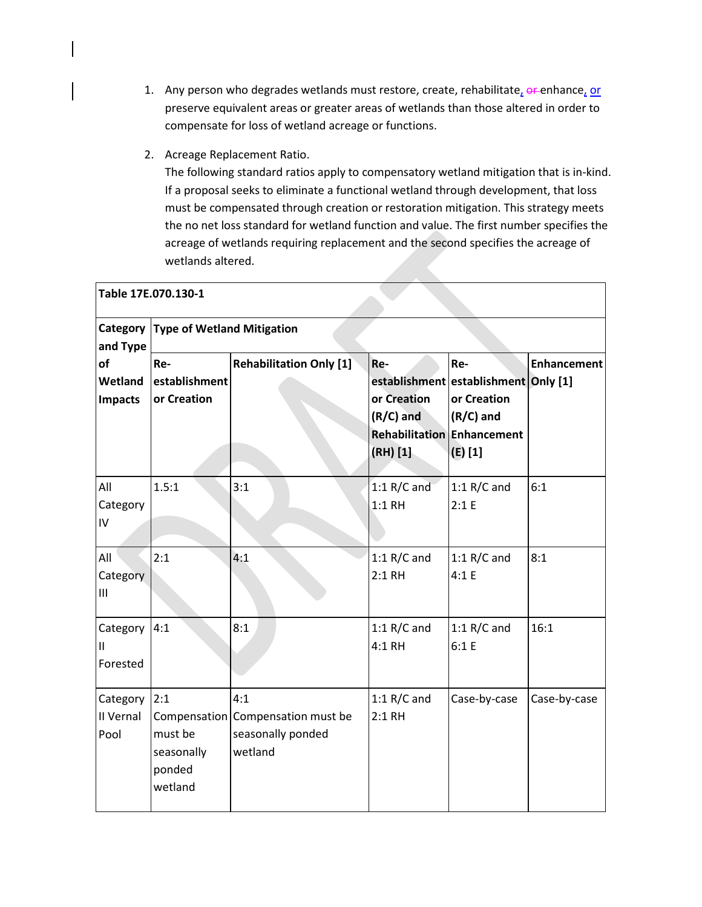- 1. Any person who degrades wetlands must restore, create, rehabilitate,  $\theta$  enhance, or preserve equivalent areas or greater areas of wetlands than those altered in order to compensate for loss of wetland acreage or functions.
- 2. Acreage Replacement Ratio.

The following standard ratios apply to compensatory wetland mitigation that is in-kind. If a proposal seeks to eliminate a functional wetland through development, that loss must be compensated through creation or restoration mitigation. This strategy meets the no net loss standard for wetland function and value. The first number specifies the acreage of wetlands requiring replacement and the second specifies the acreage of wetlands altered.

| Table 17E.070.130-1              |                                                   |                                                                          |                                                                                      |                                                                                      |                    |  |
|----------------------------------|---------------------------------------------------|--------------------------------------------------------------------------|--------------------------------------------------------------------------------------|--------------------------------------------------------------------------------------|--------------------|--|
| Category<br>and Type             | <b>Type of Wetland Mitigation</b>                 |                                                                          |                                                                                      |                                                                                      |                    |  |
| of<br>Wetland<br><b>Impacts</b>  | Re-<br>establishment<br>or Creation               | <b>Rehabilitation Only [1]</b>                                           | Re-<br>or Creation<br>$(R/C)$ and<br><b>Rehabilitation Enhancement</b><br>$(RH)$ [1] | Re-<br>establishment establishment Only [1]<br>or Creation<br>$(R/C)$ and<br>(E) [1] | <b>Enhancement</b> |  |
| All<br>Category<br>IV            | 1.5:1                                             | 3:1                                                                      | $1:1 R/C$ and<br>$1:1$ RH                                                            | 1:1 $R/C$ and<br>2:1 E                                                               | 6:1                |  |
| All<br>Category<br>III           | 2:1                                               | 4:1                                                                      | 1:1 $R/C$ and<br>2:1 RH                                                              | 1:1 $R/C$ and<br>4:1 E                                                               | 8:1                |  |
| Category<br>$\sf II$<br>Forested | 4:1                                               | 8:1                                                                      | 1:1 $R/C$ and<br>4:1 RH                                                              | 1:1 $R/C$ and<br>6:1 E                                                               | 16:1               |  |
| Category<br>II Vernal<br>Pool    | 2:1<br>must be<br>seasonally<br>ponded<br>wetland | 4:1<br>Compensation Compensation must be<br>seasonally ponded<br>wetland | 1:1 $R/C$ and<br>2:1 RH                                                              | Case-by-case                                                                         | Case-by-case       |  |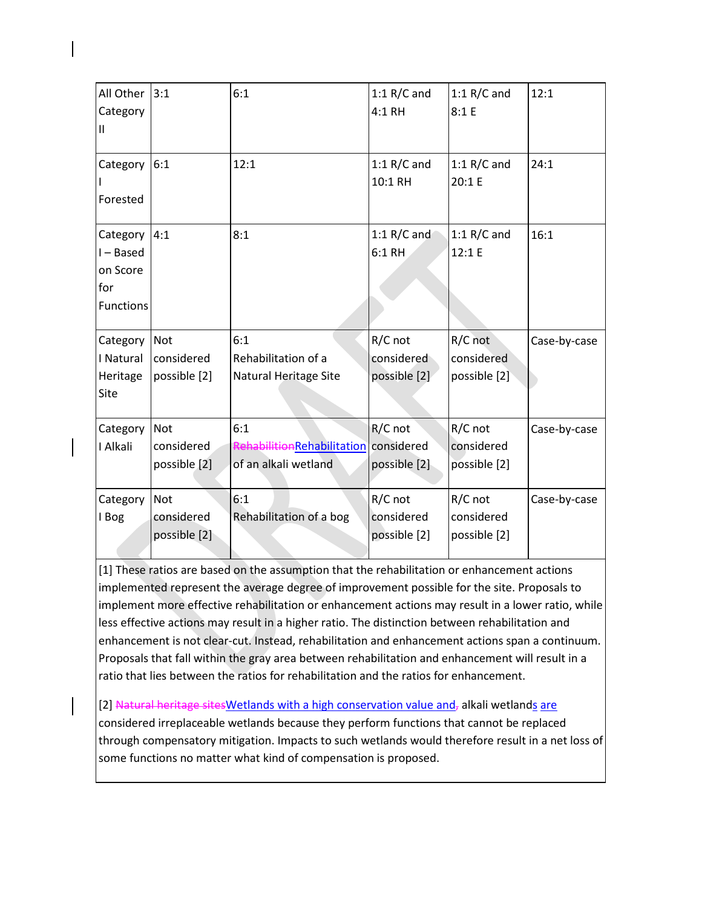| All Other<br>Category<br>$\mathsf{II}$                     | 3:1                                      | 6:1                                                                  | 1:1 $R/C$ and<br>4:1 RH               | 1:1 $R/C$ and<br>8:1 E                | 12:1         |
|------------------------------------------------------------|------------------------------------------|----------------------------------------------------------------------|---------------------------------------|---------------------------------------|--------------|
| Category<br>Forested                                       | 6:1                                      | 12:1                                                                 | 1:1 $R/C$ and<br>10:1 RH              | 1:1 $R/C$ and<br>20:1 E               | 24:1         |
| Category<br>I-Based<br>on Score<br>for<br><b>Functions</b> | 4:1                                      | 8:1                                                                  | 1:1 $R/C$ and<br>6:1 RH               | 1:1 $R/C$ and<br>12:1 E               | 16:1         |
| Category<br>I Natural<br>Heritage<br>Site                  | <b>Not</b><br>considered<br>possible [2] | 6:1<br>Rehabilitation of a<br>Natural Heritage Site                  | R/C not<br>considered<br>possible [2] | R/C not<br>considered<br>possible [2] | Case-by-case |
| Category<br>I Alkali                                       | <b>Not</b><br>considered<br>possible [2] | 6:1<br>RehabilitionRehabilitation considered<br>of an alkali wetland | R/C not<br>possible [2]               | R/C not<br>considered<br>possible [2] | Case-by-case |
| Category<br>I Bog                                          | <b>Not</b><br>considered<br>possible [2] | 6:1<br>Rehabilitation of a bog                                       | R/C not<br>considered<br>possible [2] | R/C not<br>considered<br>possible [2] | Case-by-case |

[1] These ratios are based on the assumption that the rehabilitation or enhancement actions implemented represent the average degree of improvement possible for the site. Proposals to implement more effective rehabilitation or enhancement actions may result in a lower ratio, while less effective actions may result in a higher ratio. The distinction between rehabilitation and enhancement is not clear-cut. Instead, rehabilitation and enhancement actions span a continuum. Proposals that fall within the gray area between rehabilitation and enhancement will result in a ratio that lies between the ratios for rehabilitation and the ratios for enhancement.

[2] Natural heritage sites Wetlands with a high conservation value and, alkali wetlands are considered irreplaceable wetlands because they perform functions that cannot be replaced through compensatory mitigation. Impacts to such wetlands would therefore result in a net loss of some functions no matter what kind of compensation is proposed.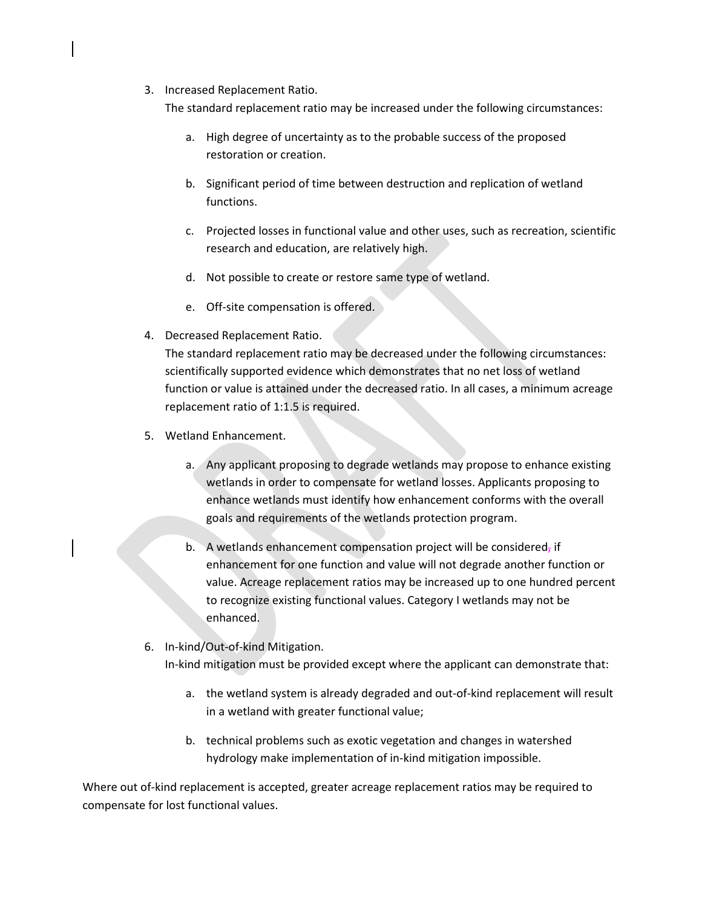3. Increased Replacement Ratio.

The standard replacement ratio may be increased under the following circumstances:

- a. High degree of uncertainty as to the probable success of the proposed restoration or creation.
- b. Significant period of time between destruction and replication of wetland functions.
- c. Projected losses in functional value and other uses, such as recreation, scientific research and education, are relatively high.
- d. Not possible to create or restore same type of wetland.
- e. Off-site compensation is offered.
- 4. Decreased Replacement Ratio.

The standard replacement ratio may be decreased under the following circumstances: scientifically supported evidence which demonstrates that no net loss of wetland function or value is attained under the decreased ratio. In all cases, a minimum acreage replacement ratio of 1:1.5 is required.

- 5. Wetland Enhancement.
	- a. Any applicant proposing to degrade wetlands may propose to enhance existing wetlands in order to compensate for wetland losses. Applicants proposing to enhance wetlands must identify how enhancement conforms with the overall goals and requirements of the wetlands protection program.
	- b. A wetlands enhancement compensation project will be considered, if enhancement for one function and value will not degrade another function or value. Acreage replacement ratios may be increased up to one hundred percent to recognize existing functional values. Category I wetlands may not be enhanced.
- 6. In-kind/Out-of-kind Mitigation.

In-kind mitigation must be provided except where the applicant can demonstrate that:

- a. the wetland system is already degraded and out-of-kind replacement will result in a wetland with greater functional value;
- b. technical problems such as exotic vegetation and changes in watershed hydrology make implementation of in-kind mitigation impossible.

Where out of-kind replacement is accepted, greater acreage replacement ratios may be required to compensate for lost functional values.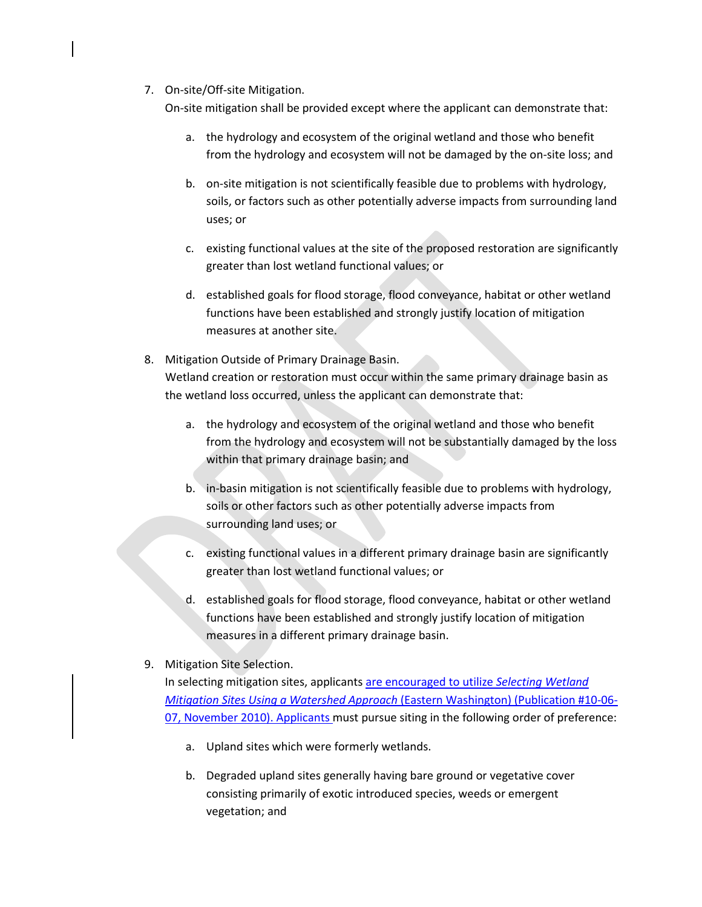7. On-site/Off-site Mitigation.

On-site mitigation shall be provided except where the applicant can demonstrate that:

- a. the hydrology and ecosystem of the original wetland and those who benefit from the hydrology and ecosystem will not be damaged by the on-site loss; and
- b. on-site mitigation is not scientifically feasible due to problems with hydrology, soils, or factors such as other potentially adverse impacts from surrounding land uses; or
- c. existing functional values at the site of the proposed restoration are significantly greater than lost wetland functional values; or
- d. established goals for flood storage, flood conveyance, habitat or other wetland functions have been established and strongly justify location of mitigation measures at another site.
- 8. Mitigation Outside of Primary Drainage Basin. Wetland creation or restoration must occur within the same primary drainage basin as the wetland loss occurred, unless the applicant can demonstrate that:
	- a. the hydrology and ecosystem of the original wetland and those who benefit from the hydrology and ecosystem will not be substantially damaged by the loss within that primary drainage basin; and
	- b. in-basin mitigation is not scientifically feasible due to problems with hydrology, soils or other factors such as other potentially adverse impacts from surrounding land uses; or
	- c. existing functional values in a different primary drainage basin are significantly greater than lost wetland functional values; or
	- d. established goals for flood storage, flood conveyance, habitat or other wetland functions have been established and strongly justify location of mitigation measures in a different primary drainage basin.
- 9. Mitigation Site Selection.

In selecting mitigation sites, applicants are encouraged to utilize *Selecting Wetland Mitigation Sites Using a Watershed Approach* (Eastern Washington) (Publication #10-06- 07, November 2010). Applicants must pursue siting in the following order of preference:

- a. Upland sites which were formerly wetlands.
- b. Degraded upland sites generally having bare ground or vegetative cover consisting primarily of exotic introduced species, weeds or emergent vegetation; and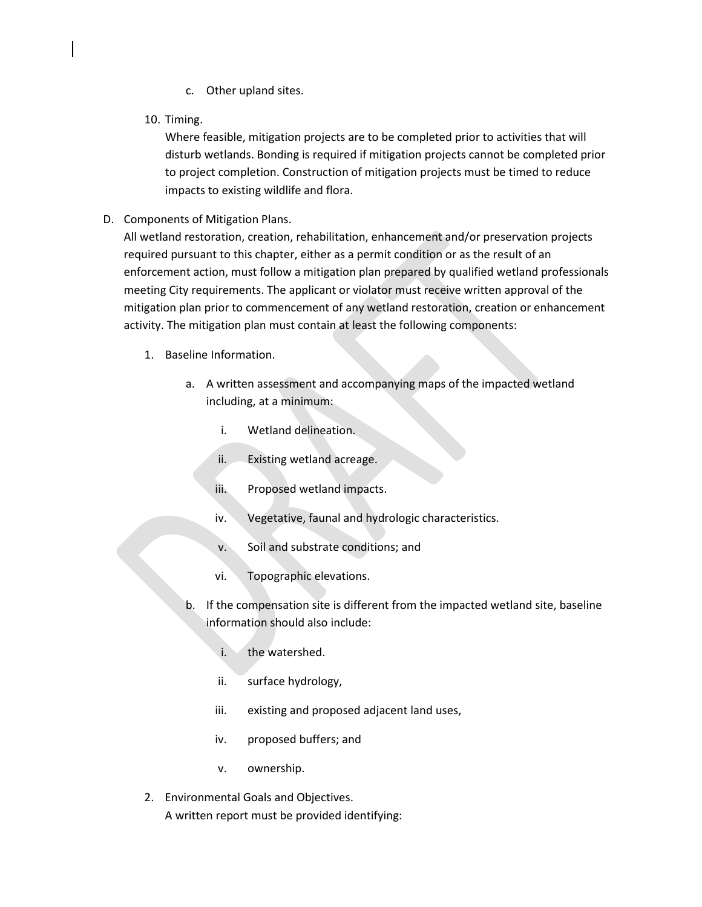- c. Other upland sites.
- 10. Timing.

Where feasible, mitigation projects are to be completed prior to activities that will disturb wetlands. Bonding is required if mitigation projects cannot be completed prior to project completion. Construction of mitigation projects must be timed to reduce impacts to existing wildlife and flora.

D. Components of Mitigation Plans.

All wetland restoration, creation, rehabilitation, enhancement and/or preservation projects required pursuant to this chapter, either as a permit condition or as the result of an enforcement action, must follow a mitigation plan prepared by qualified wetland professionals meeting City requirements. The applicant or violator must receive written approval of the mitigation plan prior to commencement of any wetland restoration, creation or enhancement activity. The mitigation plan must contain at least the following components:

- 1. Baseline Information.
	- a. A written assessment and accompanying maps of the impacted wetland including, at a minimum:
		- i. Wetland delineation.
		- ii. Existing wetland acreage.
		- iii. Proposed wetland impacts.
		- iv. Vegetative, faunal and hydrologic characteristics.
		- v. Soil and substrate conditions; and
		- vi. Topographic elevations.
	- b. If the compensation site is different from the impacted wetland site, baseline information should also include:
		- i. the watershed.
		- ii. surface hydrology,
		- iii. existing and proposed adjacent land uses,
		- iv. proposed buffers; and
		- v. ownership.
- 2. Environmental Goals and Objectives. A written report must be provided identifying: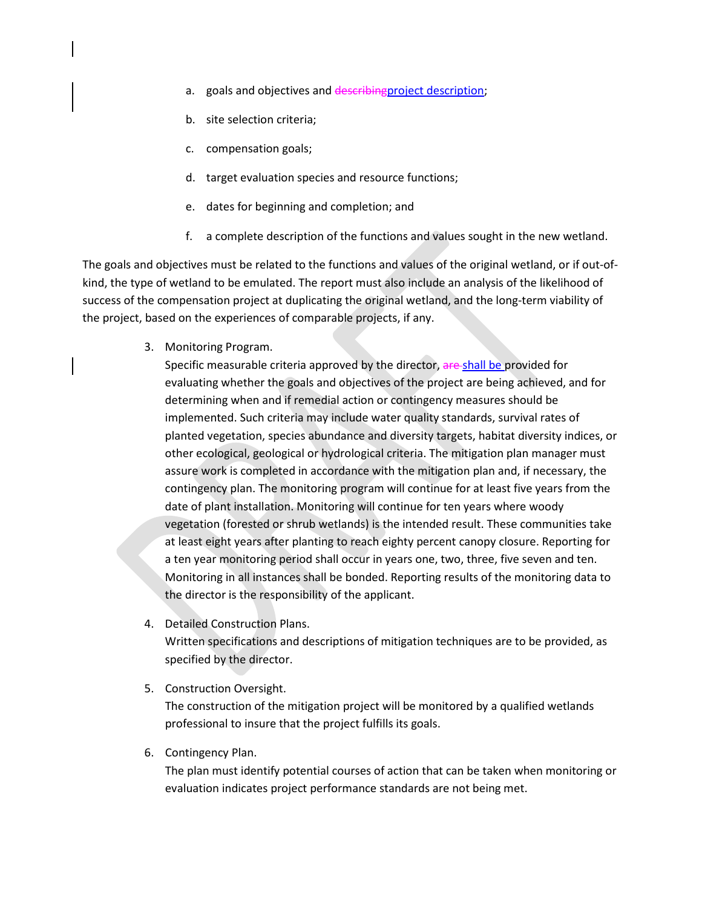- a. goals and objectives and describing project description;
- b. site selection criteria;
- c. compensation goals;
- d. target evaluation species and resource functions;
- e. dates for beginning and completion; and
- f. a complete description of the functions and values sought in the new wetland.

The goals and objectives must be related to the functions and values of the original wetland, or if out-ofkind, the type of wetland to be emulated. The report must also include an analysis of the likelihood of success of the compensation project at duplicating the original wetland, and the long-term viability of the project, based on the experiences of comparable projects, if any.

3. Monitoring Program.

Specific measurable criteria approved by the director, are shall be provided for evaluating whether the goals and objectives of the project are being achieved, and for determining when and if remedial action or contingency measures should be implemented. Such criteria may include water quality standards, survival rates of planted vegetation, species abundance and diversity targets, habitat diversity indices, or other ecological, geological or hydrological criteria. The mitigation plan manager must assure work is completed in accordance with the mitigation plan and, if necessary, the contingency plan. The monitoring program will continue for at least five years from the date of plant installation. Monitoring will continue for ten years where woody vegetation (forested or shrub wetlands) is the intended result. These communities take at least eight years after planting to reach eighty percent canopy closure. Reporting for a ten year monitoring period shall occur in years one, two, three, five seven and ten. Monitoring in all instances shall be bonded. Reporting results of the monitoring data to the director is the responsibility of the applicant.

4. Detailed Construction Plans.

Written specifications and descriptions of mitigation techniques are to be provided, as specified by the director.

5. Construction Oversight.

The construction of the mitigation project will be monitored by a qualified wetlands professional to insure that the project fulfills its goals.

6. Contingency Plan.

The plan must identify potential courses of action that can be taken when monitoring or evaluation indicates project performance standards are not being met.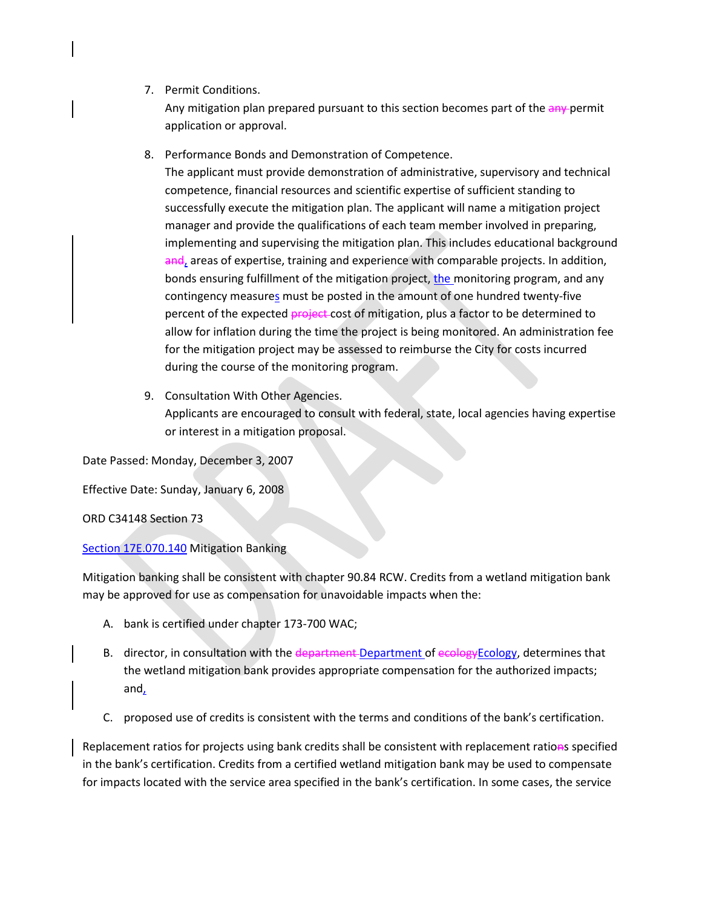7. Permit Conditions.

Any mitigation plan prepared pursuant to this section becomes part of the any-permit application or approval.

8. Performance Bonds and Demonstration of Competence.

The applicant must provide demonstration of administrative, supervisory and technical competence, financial resources and scientific expertise of sufficient standing to successfully execute the mitigation plan. The applicant will name a mitigation project manager and provide the qualifications of each team member involved in preparing, implementing and supervising the mitigation plan. This includes educational background and, areas of expertise, training and experience with comparable projects. In addition, bonds ensuring fulfillment of the mitigation project, the monitoring program, and any contingency measures must be posted in the amount of one hundred twenty-five percent of the expected project cost of mitigation, plus a factor to be determined to allow for inflation during the time the project is being monitored. An administration fee for the mitigation project may be assessed to reimburse the City for costs incurred during the course of the monitoring program.

9. Consultation With Other Agencies. Applicants are encouraged to consult with federal, state, local agencies having expertise or interest in a mitigation proposal.

Date Passed: Monday, December 3, 2007

Effective Date: Sunday, January 6, 2008

ORD C34148 Section 73

[Section 17E.070.140](https://my.spokanecity.org/smc/?Section=17E.070.140) Mitigation Banking

Mitigation banking shall be consistent with chapter 90.84 RCW. Credits from a wetland mitigation bank may be approved for use as compensation for unavoidable impacts when the:

- A. bank is certified under chapter 173-700 WAC;
- B. director, in consultation with the department Department of ecology Ecology, determines that the wetland mitigation bank provides appropriate compensation for the authorized impacts; and,
- C. proposed use of credits is consistent with the terms and conditions of the bank's certification.

Replacement ratios for projects using bank credits shall be consistent with replacement rations specified in the bank's certification. Credits from a certified wetland mitigation bank may be used to compensate for impacts located with the service area specified in the bank's certification. In some cases, the service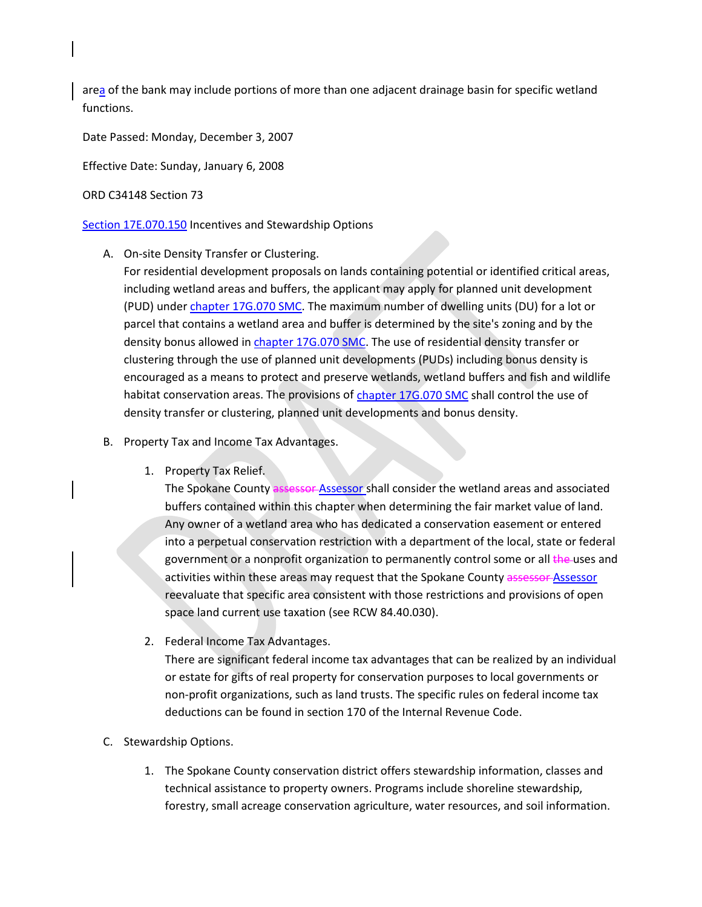area of the bank may include portions of more than one adjacent drainage basin for specific wetland functions.

Date Passed: Monday, December 3, 2007

Effective Date: Sunday, January 6, 2008

## ORD C34148 Section 73

## [Section 17E.070.150](https://my.spokanecity.org/smc/?Section=17E.070.150) Incentives and Stewardship Options

- A. On-site Density Transfer or Clustering.
	- For residential development proposals on lands containing potential or identified critical areas, including wetland areas and buffers, the applicant may apply for planned unit development (PUD) under [chapter 17G.070 SMC.](https://my.spokanecity.org/smc/?Chapter=17G.070) The maximum number of dwelling units (DU) for a lot or parcel that contains a wetland area and buffer is determined by the site's zoning and by the density bonus allowed i[n chapter 17G.070 SMC.](https://my.spokanecity.org/smc/?Chapter=17G.070) The use of residential density transfer or clustering through the use of planned unit developments (PUDs) including bonus density is encouraged as a means to protect and preserve wetlands, wetland buffers and fish and wildlife habitat conservation areas. The provisions of [chapter 17G.070 SMC](https://my.spokanecity.org/smc/?Chapter=17G.070) shall control the use of density transfer or clustering, planned unit developments and bonus density.
- B. Property Tax and Income Tax Advantages.
	- 1. Property Tax Relief.

The Spokane County assessor Assessor shall consider the wetland areas and associated buffers contained within this chapter when determining the fair market value of land. Any owner of a wetland area who has dedicated a conservation easement or entered into a perpetual conservation restriction with a department of the local, state or federal government or a nonprofit organization to permanently control some or all the uses and activities within these areas may request that the Spokane County assessor Assessor reevaluate that specific area consistent with those restrictions and provisions of open space land current use taxation (see RCW 84.40.030).

2. Federal Income Tax Advantages.

There are significant federal income tax advantages that can be realized by an individual or estate for gifts of real property for conservation purposes to local governments or non-profit organizations, such as land trusts. The specific rules on federal income tax deductions can be found in section 170 of the Internal Revenue Code.

- C. Stewardship Options.
	- 1. The Spokane County conservation district offers stewardship information, classes and technical assistance to property owners. Programs include shoreline stewardship, forestry, small acreage conservation agriculture, water resources, and soil information.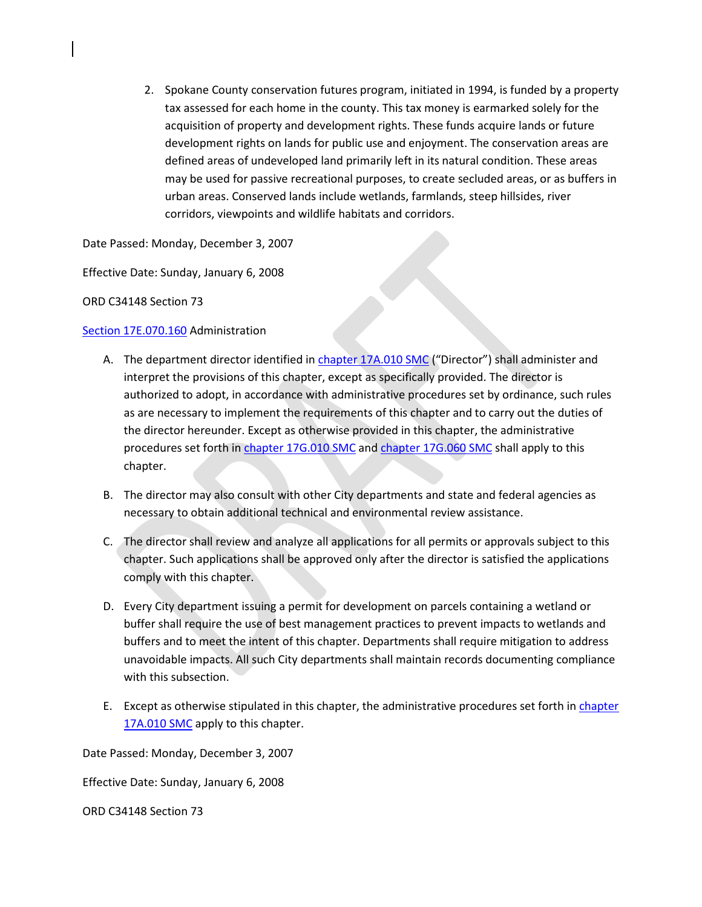2. Spokane County conservation futures program, initiated in 1994, is funded by a property tax assessed for each home in the county. This tax money is earmarked solely for the acquisition of property and development rights. These funds acquire lands or future development rights on lands for public use and enjoyment. The conservation areas are defined areas of undeveloped land primarily left in its natural condition. These areas may be used for passive recreational purposes, to create secluded areas, or as buffers in urban areas. Conserved lands include wetlands, farmlands, steep hillsides, river corridors, viewpoints and wildlife habitats and corridors.

Date Passed: Monday, December 3, 2007

Effective Date: Sunday, January 6, 2008

ORD C34148 Section 73

## [Section 17E.070.160](https://my.spokanecity.org/smc/?Section=17E.070.160) Administration

- A. The department director identified i[n chapter 17A.010 SMC](https://my.spokanecity.org/smc/?Chapter=17A.010) ("Director") shall administer and interpret the provisions of this chapter, except as specifically provided. The director is authorized to adopt, in accordance with administrative procedures set by ordinance, such rules as are necessary to implement the requirements of this chapter and to carry out the duties of the director hereunder. Except as otherwise provided in this chapter, the administrative procedures set forth in [chapter 17G.010 SMC](https://my.spokanecity.org/smc/?Chapter=17G.010) and [chapter 17G.060 SMC](https://my.spokanecity.org/smc/?Chapter=17G.010) shall apply to this chapter.
- B. The director may also consult with other City departments and state and federal agencies as necessary to obtain additional technical and environmental review assistance.
- C. The director shall review and analyze all applications for all permits or approvals subject to this chapter. Such applications shall be approved only after the director is satisfied the applications comply with this chapter.
- D. Every City department issuing a permit for development on parcels containing a wetland or buffer shall require the use of best management practices to prevent impacts to wetlands and buffers and to meet the intent of this chapter. Departments shall require mitigation to address unavoidable impacts. All such City departments shall maintain records documenting compliance with this subsection.
- E. Except as otherwise stipulated in this chapter, the administrative procedures set forth in [chapter](https://my.spokanecity.org/smc/?Chapter=17A.010)  [17A.010 SMC](https://my.spokanecity.org/smc/?Chapter=17A.010) apply to this chapter.

Date Passed: Monday, December 3, 2007

Effective Date: Sunday, January 6, 2008

ORD C34148 Section 73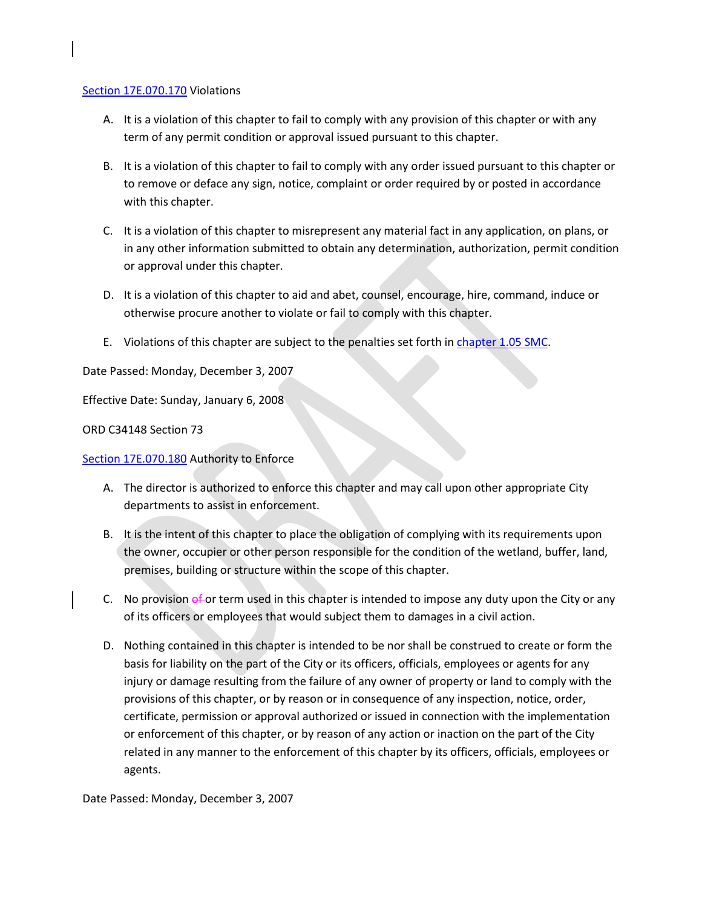### [Section 17E.070.170](https://my.spokanecity.org/smc/?Section=17E.070.170) Violations

- A. It is a violation of this chapter to fail to comply with any provision of this chapter or with any term of any permit condition or approval issued pursuant to this chapter.
- B. It is a violation of this chapter to fail to comply with any order issued pursuant to this chapter or to remove or deface any sign, notice, complaint or order required by or posted in accordance with this chapter.
- C. It is a violation of this chapter to misrepresent any material fact in any application, on plans, or in any other information submitted to obtain any determination, authorization, permit condition or approval under this chapter.
- D. It is a violation of this chapter to aid and abet, counsel, encourage, hire, command, induce or otherwise procure another to violate or fail to comply with this chapter.
- E. Violations of this chapter are subject to the penalties set forth i[n chapter 1.05 SMC.](https://my.spokanecity.org/smc/?Chapter=01.05)

Date Passed: Monday, December 3, 2007

Effective Date: Sunday, January 6, 2008

ORD C34148 Section 73

[Section 17E.070.180](https://my.spokanecity.org/smc/?Section=17E.070.180) Authority to Enforce

- A. The director is authorized to enforce this chapter and may call upon other appropriate City departments to assist in enforcement.
- B. It is the intent of this chapter to place the obligation of complying with its requirements upon the owner, occupier or other person responsible for the condition of the wetland, buffer, land, premises, building or structure within the scope of this chapter.
- C. No provision  $ef$  or term used in this chapter is intended to impose any duty upon the City or any of its officers or employees that would subject them to damages in a civil action.
- D. Nothing contained in this chapter is intended to be nor shall be construed to create or form the basis for liability on the part of the City or its officers, officials, employees or agents for any injury or damage resulting from the failure of any owner of property or land to comply with the provisions of this chapter, or by reason or in consequence of any inspection, notice, order, certificate, permission or approval authorized or issued in connection with the implementation or enforcement of this chapter, or by reason of any action or inaction on the part of the City related in any manner to the enforcement of this chapter by its officers, officials, employees or agents.

Date Passed: Monday, December 3, 2007